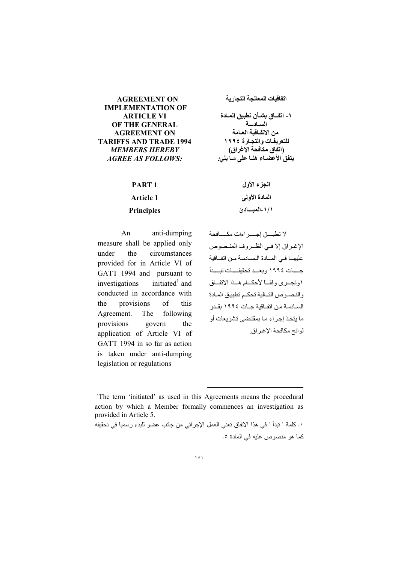### **AGREEMENT ON IMPLEMENTATION OF ARTICLE VI** OF THE GENERAL **AGREEMENT ON TARIFFS AND TRADE 1994 MEMBERS HEREBY AGREE AS FOLLOWS:**

PART<sub>1</sub>

**Article 1** 

**Principles** 

## اتفاقيات المعالجة التجارية

١ ـ اتفــاق بشــأن تطبيق المــادة السيادسة من الاتفاقية العامة للتعريفات والتجارة ١٩٩٤ (اتفاق مكافحة الإغراق) يتفق الأعضــاء هنــا على مــا يلي:

> الجزء الأول المادة الأولى ١ / ١ -المبسادئ

 $An$ anti-dumping measure shall be applied only the circumstances under provided for in Article VI of GATT 1994 and pursuant to initiated $^1$  and investigations conducted in accordance with the provisions  $\sigma$ f this Agreement. The following govern provisions the application of Article VI of GATT 1994 in so far as action is taken under anti-dumping legislation or regulations

لا تطبيق احب اءات مكسافحة الإغير إق الا فسي الظير وف المنبصوص عليهـا في المـادة السادسة من اتفاقية جسات ١٩٩٤ وبعسد تحقيقسات تبسدأ ١وتجبري وفقياً لأحكسام هبذا الاتفاق والنصوص التبالية تحكم تطبيق المبادة السيادسة من اتفاقية حيات ١٩٩٤ يقيدر ما بِنَخذ إجر اء مـا بمقتضبي تشر بعات أو لوائح مكافحة الإغراق.

The term 'initiated' as used in this Agreements means the procedural action by which a Member formally commences an investigation as provided in Article 5.

١. كلمة " نبدأ " في هذا الاتفاق تعني العمل الإجرائي من جانب عضو للبدء رسميا في تحقيقه كما هو منصوص عليه في المادة ٥.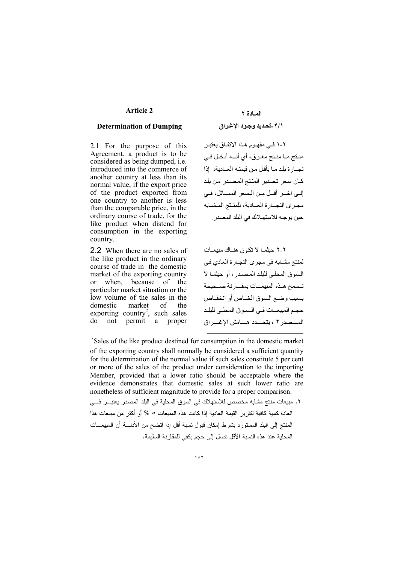### **Article 2**

#### **Determination of Dumping**

2.1 For the purpose of this Agreement, a product is to be considered as being dumped, *i.e.* introduced into the commerce of another country at less than its normal value, if the export price of the product exported from one country to another is less than the comparable price, in the ordinary course of trade, for the like product when distend for consumption in the exporting country.

2.2 When there are no sales of the like product in the ordinary course of trade in the domestic market of the exporting country when, because of the  $or$ particular market situation or the low volume of the sales in the domestic market of the exporting country<sup>2</sup>, such sales do not permit a proper

٢-١ فـي مفهـوم هـذا الاتفـاق يعتبـر منتج مـا منـتج مغـرق، أي أنــه أدخـل فـي تجــار ة بلد مـا بأقل مـن قيمتـه العــادية، إذا كـان سعر تصدير المنتج المصـدر من بلد إلى آخــر أقــل مـن الــسعر الممـــاثل، فــي مجرى التجبارة العبادية، للمنتج المشبابه حين يو جــه للاستهــلاك في البلد المصدر .

٢-٢ حيثمـا لا تكون هنــاك مييعــات لمنتج مشـابـه في مجر ي التجـارة العادي فـي السوق المحلي للبلد المصدر ، أو حيثمـا لا تسمح هذه المبيعسات بمقسارنة صنحيحة بسبب وضيع السوق الخياص أو انخفياض حجم المبيعــات فـي الـسـوق المحلـي للبلـد المسصدر ٢ ، يتحسدد هسامش الإغسر اق

Sales of the like product destined for consumption in the domestic market of the exporting country shall normally be considered a sufficient quantity for the determination of the normal value if such sales constitute 5 per cent or more of the sales of the product under consideration to the importing Member, provided that a lower ratio should be acceptable where the evidence demonstrates that domestic sales at such lower ratio are nonetheless of sufficient magnitude to provide for a proper comparison. ٢. مبيعات منتج مشابه مخصص للاستهلاك في السوق المحلية في البلد المصدر يعتبـــر فـــي العادة كمية كافية لتقرير القيمة العادية إذا كانت هذه المبيعات ٥ % أو أكثر من مبيعات هذا المنتج إلى البلد المستورد بشرط إمكان فبول نسبة أقل إذا انضح من الأدلــــة أن المبيعـــات

المحلبة عند هذه النسبة الأقل تصل الى حجم بكفي للمقار نة السلبمة.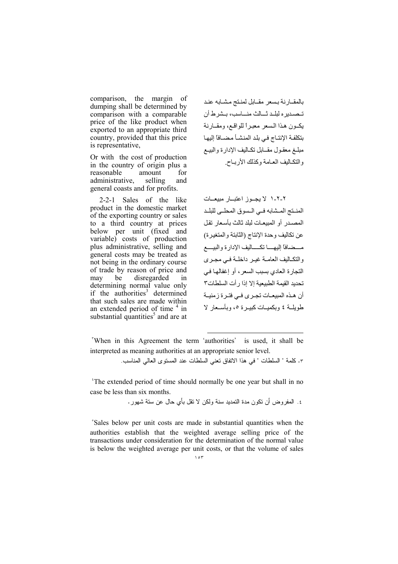comparison, the margin of dumping shall be determined by comparison with a comparable price of the like product when exported to an appropriate third country, provided that this price is representative,

Or with the cost of production in the country of origin plus a reasonable amount for administrative, selling and general coasts and for profits.

2-2-1 Sales of the like product in the domestic market of the exporting country or sales to a third country at prices below per unit (fixed and variable) costs of production plus administrative, selling and general costs may be treated as not being in the ordinary course of trade by reason of price and may be disregarded in determining normal value only<br>if the authorities<sup>3</sup> determined that such sales are made within an extended period of time <sup>4</sup> in substantial quantities<sup>5</sup> and are at

بالمقبارنة بسعر مقبابل لمنتج مشبابه عند تــصـديره لبلــد ثـــالث منـــاسب، بــشرط أن يكبون هذا السعر معبراً للواقع، ومقبارنة بتكلفة الإنتـاج في بلد المنشـأ مضـافاً إليهـا مبلغ معقول مقـابل تكـاليف الإدارة والبيـع والنكاليف العبامة وكذلك الأربياح

٢-٢-١ لا يجـوز اعتبــار مبيعــات المنتج المشابه في السوق المحلي للبلد المصدر أو المبيعات لبلد ثالث بأسعار تقل عن تكاليف وحدة الإنتاج (الثابتة والمتغيرة) مسضافا إليهسا تكساليف الإدارة والبيسع والتكاليف العامـة غيـر داخلـة فـي مجـري التجارة العادي بسبب السعر ، أو إغفالها في تحديد القيمة الطبيعية إلا إذا ر أت السلطات٣ أن هـذه المبيعـات تجـرى فـى فتـرة زمنيــة طويلــة ٤ وبكميــات كبيــر ة ٥، وبأســعار لا

"When in this Agreement the term 'authorities' is used, it shall be interpreted as meaning authorities at an appropriate senior level. ٣. كلمة " السلطات " في هذا الاتفاق تعني السلطات عند المستوى العالي المناسب.

<sup>t</sup>The extended period of time should normally be one year but shall in no case be less than six months.

٤. المفر وض أن نكون مدة التمديد سنة ولكن لا نقل بأي حال عن ستة شهور .

"Sales below per unit costs are made in substantial quantities when the authorities establish that the weighted average selling price of the transactions under consideration for the determination of the normal value is below the weighted average per unit costs, or that the volume of sales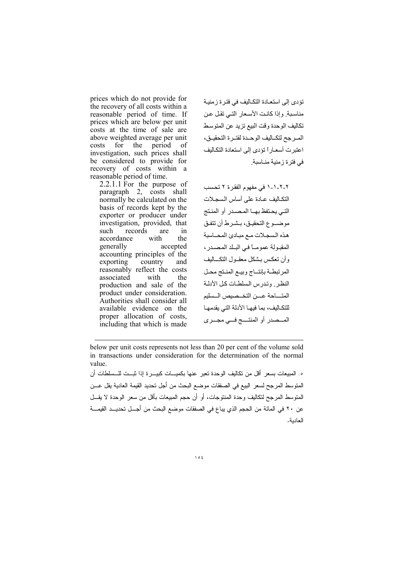prices which do not provide for the recovery of all costs within a reasonable period of time. If prices which are below per unit costs at the time of sale are above weighted average per unit period costs for the - of investigation, such prices shall be considered to provide for recovery of costs within a reasonable period of time.

 $2.2.1.1$  For the purpose of paragraph 2, costs shall normally be calculated on the basis of records kept by the exporter or producer under investigation, provided, that such records are  $in$ with accordance the generally accepted accounting principles of the exporting country and reasonably reflect the costs with associated the production and sale of the product under consideration. Authorities shall consider all available evidence on the proper allocation of costs, including that which is made

تؤدى إلى استعادة التكاليف في فترة زمنية مناسبة وإذا كانت الأسعار التبي تقل عن تكاليف الوحدة وقت البيع تزيد عن المتوسط المرجح لتكــاليف الوحــدة لفتــرة التحقيــق، اعتبر ت أسعـار أ تؤدي إلى استعادة التكـاليف في فتر ۃ ز منبة مناسبة

٢-٢-١-١ في مفهوم الفقرة ٢ تحسب التكاليف عادة على أساس السجلات التي يحتفظ بهـا المصدر أو المنتج موضـوع التحقيـق، بـشـرط أن تتفـق هذه السجلات مع مبادئ المحاسبة المقبولة عمومــاً في البـلد المصـدر، وأن تعكس بشكل معقـول التكــاليف المرتبطة بإنتـاج وبيـع المنـتج محـل النظر , وتدرس السلطات كل الأدلة المتساحة عسن التخسصيص السسليم للتكـاليف، بما فيهـا الأدلة التي يقدمهـا المسصدر أو المنتسج فسي مجسري

below per unit costs represents not less than 20 per cent of the volume sold in transactions under consideration for the determination of the normal value.

ه. المبيعات بسعر أقل من تكاليف الوحدة تعبر عنها بكميسات كبيسرة إذا شست للسسلطات أن المتوسط المرجح لسعر البيع في الصفقات موضع البحث من أجل تحديد القيمة العادية يقل عـــن المنوسط المرجح لتكاليف وحدة المنتوجات، أو أن حجم المبيعات بأقل من سعر الوحدة لا يقـــل عن ٢٠ في المائة من الحجم الذي يباع في الصنفات موضع البحث من أجــل تحديــد القيمـــة العادية.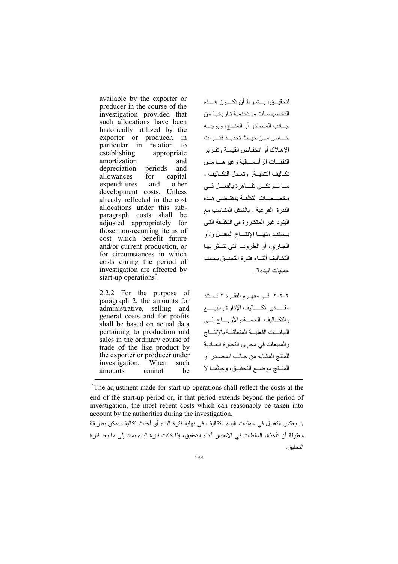available by the exporter or producer in the course of the investigation provided that such allocations have been historically utilized by the exporter or producer, in particular in relation to establishing appropriate amortization and depreciation periods and allowances for capital expenditures and other development costs. Unless already reflected in the cost allocations under this subparagraph costs shall be adjusted appropriately for those non-recurring items of cost which benefit future and/or current production, or for circumstances in which costs during the period of investigation are affected by start-up operations<sup>6</sup>.

2.2.2 For the purpose of paragraph 2, the amounts for administrative, selling and general costs and for profits shall be based on actual data pertaining to production and sales in the ordinary course of trade of the like product by the exporter or producer under investigation. When such amounts be cannot

لتحقيسق، بسشير ط أن تكسون هسذه التخصيصات مستخدمة تاريخياً من جــانب المـصدر أو المنـتج، وبوجــه خساص مــن حيــث تحديــد فتـــر ات الإهـلاك أو انخفـاض القيمــة وتقـر بر النفقـــات الر أسمـــالية وغير هـــا مــن تكـاليف التتميــة وتعـدل التكــاليف ـ مــالــم تكـــن ظـــاهر ة بالفعــل فــي مخصيصيات التكلفية بمقتبضي هيذه الفقر ة الفر عية ـ بالشكل المنــاسب مـع البنود غير المتكررة في التكلـفة التـي يستنفيد منهسا الإنتساج المقبيل و/أو الجباري، أو الظروف التي تتبأثر بها التكـاليف أثنـــاء فتـر ة التحقيـق بـسبب عمليات البدء٦

٢-٢-٢ فـي مفهـوم الفقـرة ٢ تـستند مقسادير تكساليف الإدارة والبيسم والتكساليف العامسة والأربساح إلسي البيانسات الفعليسة المتعلقسة بالإنتساج والمبيعات في مجرى التجارة العـادية للمنتج المشابه من جـانب المصـدر أو المنستج موضع التحقيق، وحيثما لا

The adjustment made for start-up operations shall reflect the costs at the end of the start-up period or, if that period extends beyond the period of investigation, the most recent costs which can reasonably be taken into account by the authorities during the investigation.

٦. يعكس التعديل في عمليات البدء التكاليف في نهاية فترة البدء أو أحدث تكاليف يمكن بطريقة معقولة أن تأخذها السلطات في الاعتبار أثناء التحقيق، إذا كانت فتر ة البدء تمتد إلى ما بعد فتر ة التحقيق .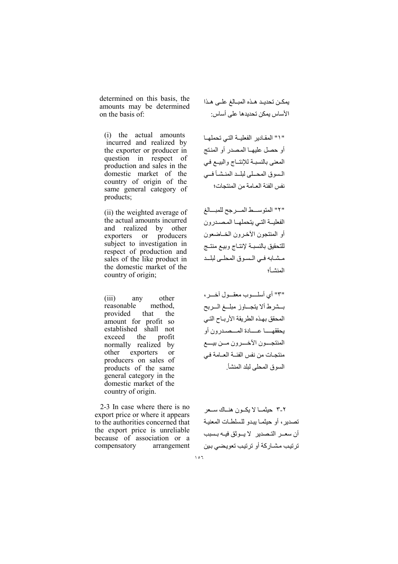determined on this basis, the amounts may be determined on the basis of:

(i) the actual amounts incurred and realized by the exporter or producer in question in respect of production and sales in the domestic market of the country of origin of the same general category of products:

(ii) the weighted average of the actual amounts incurred and realized by other exporters or producers subject to investigation in respect of production and sales of the like product in the domestic market of the country of origin;

 $(iii)$ any other method. reasonable provided that the amount for profit so established shall not exceed the profit normally realized by other exporters or producers on sales of products of the same general category in the domestic market of the country of origin.

2-3 In case where there is no export price or where it appears to the authorities concerned that the export price is unreliable because of association or a compensatory arrangement يمكن تحديد هذه المبالغ على هذا الأساس يمكن تحديدها على أساس:

" ١" المقادير الفعلية التي تحملها أو حصل عليهـا المصدر أو المنتج المعنى بالنسبة للإنتـاج والبيـع في السوق المحلي لبلد المنشأ فبي نفس الفئة العبامة من المنتحات؛

"٢" المتوسط المرجح للمبالغ الفعلية التي يتحملها المصدرون أو المنتجون الأخـرون الخــاضعون للتحقيق بالنسبية لإنتباج وبييع منتبج مشابه في السوق المحلي لبلد المنشأ

"٣" أي أسلسوب معقسول أخسر، بمشرط ألا يتجماوز مبلمغ السربح المحقق بهذه الطر يقة الأر بياح التبي يحققهـــــا عــــــادة المـــصــدر و ن أو المنتجسون الأخسرون مسن بيسع منتجـات من نفس الفئــة العــامـة فـي السوق المحلي لبلد المنشأ

٢-٣ حيثمــا لا يكــون هنــاك ســعر تصدير ، أو حبثمـا ببدو للسلطـات المعنبـة أن سعــر التـصدير لا بــو ثق فبــه بـسبب ترتيب مشاركة أو ترتيب تعويضي بين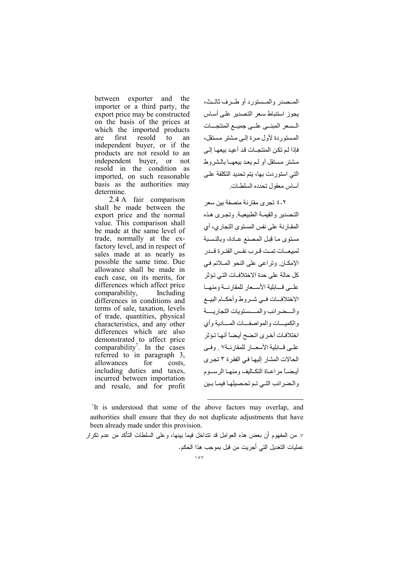between exporter and the importer or a third party, the export price may be constructed on the basis of the prices at which the imported products are first resold to  $a<sub>n</sub>$ independent buyer, or if the products are not resold to an independent buyer, or not resold in the condition as imported, on such reasonable basis as the authorities may determine.

2.4 A fair comparison shall be made between the export price and the normal value. This comparison shall be made at the same level of trade, normally at the exfactory level, and in respect of sales made at as nearly as possible the same time. Due allowance shall be made in each case, on its merits, for differences which affect price comparability. Including differences in conditions and terms of sale, taxation, levels of trade, quantities, physical characteristics, and any other differences which are also demonstrated to affect price comparability'. In the cases referred to in paragraph 3, for allowances costs. including duties and taxes. incurred between importation and resale, and for profit

المسصدر والمسستورد أوطيرف ثاليث، يجوز استنباط سعر التصدير على أساس السعر المبني على جميع المنتجسات المستوردة لأول مرة إلى مشتر مستقل، فإذا لم تكن المنتجــات قد أعيد بيعهـا إلــ ٍ مشتر مستقل أو لـم بعد بيعهـا بالشر وط التے استور دت پھا، بتہ تحدید التکلفة علے أساس معقول تحدده السلطيات

٢-٤ تجري مقارنة منصفة بين سعر التصدير والقيمة الطبيعية وتجرى هذه المقـار نـة علـى نفس المستوى التجار ي، أي مستوى ما قبل المصنع عـادة، وبالنسبة لمبيعــات تمـت قـر ب نفـس الفتـر ة قــدر الإمكان وتراعى على النحو الملائم في كل حالة على حدة الاختلافــات التـي تـؤ ثر علمي قسابلية الأسمعار للمقارنسة ومنهما الاختلافسات فمي شمروط وأحكسام البيسع والسضرائب والمسستويات التجاريسة و الكميسات و المو اصفسات المسادية و أي اختلافات أخرى اتضح أيضا أنها تؤثر علمي قسابلية الأسعسار للمقارنسة٧ وفيي الحالات المشار إليها في الفقرة ٣ تجر ي أيـضـــاً مر اعــاة التكــاليف و منهــا الر ســـو م والضرائب التي تم تحصيلها فيما بين

<sup>"</sup>It is understood that some of the above factors may overlap, and authorities shall ensure that they do not duplicate adjustments that have been already made under this provision.

٧. من المفهوم أن بعض هذه العوامل قد نتداخل فيما بينها، وعلى السلطات النأكد من عدم نكرار عمليات التعديل التي أجريت من قبل بموجب هذا الحكم.  $\sqrt{2V}$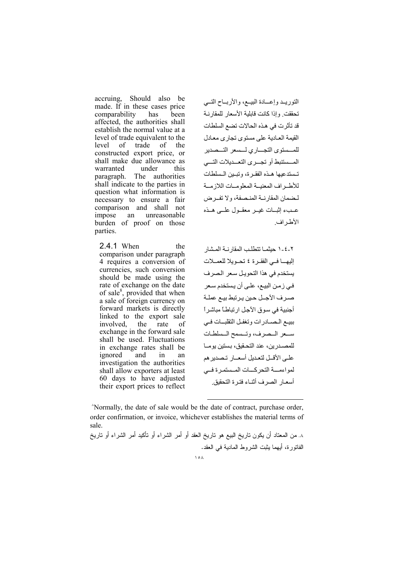accruing, Should also be made. If in these cases price comparability has been affected, the authorities shall establish the normal value at a level of trade equivalent to the level of trade of the constructed export price, or shall make due allowance as warranted under this paragraph. The authorities shall indicate to the parties in question what information is necessary to ensure a fair comparison and shall not unreasonable impose an burden of proof on those parties.

2.4.1 When the comparison under paragraph 4 requires a conversion of currencies, such conversion should be made using the rate of exchange on the date of sale<sup>8</sup>, provided that when a sale of foreign currency on forward markets is directly linked to the export sale involved, the rate of exchange in the forward sale shall be used. Fluctuations in exchange rates shall be ignored and in an investigation the authorities shall allow exporters at least 60 days to have adjusted their export prices to reflect

النورييد وإعسادة البييع، والأربياح التسى تحققت وإذا كانت قابلية الأسعار للمقارنية قد تأثر ت في هذه الحالات تضع السلطات القبمة العبادية على مستوى تجارى معادل للمسستوى التجساري لسسعر التسصدير المسستنبط أو تجسري التعسديلات التسى تستدعيها هبذه الفقيرة، وتبيين السلطات للأطير اف المعنية المعلوميات اللاز مية لبضمان المقارنية المنبصفة، و لا تفير ض عبء اثبات غسر معقبول علي هيذه الأطر اف

٢-٤-١ حيثمــا تتطلب المقارنــة المـشار إليها في الفقرة ٤ تحويلا للعملات يستخدم في هذا التحويل سعر الصرف في زمن البيع، على أن يستخدم سعر صرف الأجل حين يرتبط بيع عملة أجنبية في سوق الآجل ار تباطـًا مباشر أ ببيع المصادرات وتغفل التقلبات فيى سبعر السصرف، وتسسمح المسلطات للمصدر بن، عند التحقيق، بستين يومــا علـى الأقــل لتعـديل أسعــار تـصدير هم لمواءمــــة التحركــــات المــستمـر ة فـــى أسعبار الصرف أثنياء فتبرة التحقيق

Normally, the date of sale would be the date of contract, purchase order, order confirmation, or invoice, whichever establishes the material terms of sale.

٨. من المعتاد أن يكون تاريخ البيع هو تاريخ العقد أو أمر الشراء أو تأكيد أمر الشراء أو تاريخ الفاتور ة، أبهما بثبت الشر وط المادبة في العقد.  $\Delta$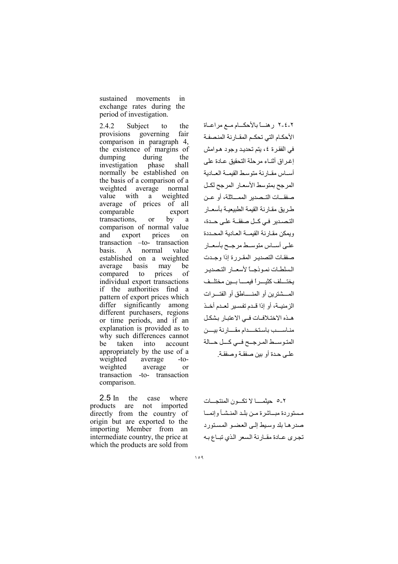sustained movements  $in$ exchange rates during the period of investigation.

Subject to 2.4.2 the provisions governing fair comparison in paragraph 4, the existence of margins of during dumping the investigation phase shall normally be established on the basis of a comparison of a weighted average normal value with a weighted average of prices of all comparable export by transactions. <sub>or</sub> a comparison of normal value export and prices  $\alpha$ n transaction -to- transaction **basis**  $\mathbf{A}$ normal value established on a weighted average basis may he compared to prices of individual export transactions if the authorities find a pattern of export prices which differ significantly among different purchasers, regions or time periods, and if an explanation is provided as to why such differences cannot be taken into account appropriately by the use of a weighted average  $-t$ o- $\alpha$ weighted average transaction -to- transaction comparison.

2.5 In the case where products are not imported directly from the country of origin but are exported to the importing Member from an intermediate country, the price at which the products are sold from

٢-٤-٢ رهناً بالأحكسام مسع مراعساة الأحكـام التي تحكـم المقـار نة المنصفـة في الفقرة ٤، يتم تحديد وجود هوامش إغراق أثناء مرحلة التحقيق عـادة على أساس مقارنة متوسط القيمة العادية المرجح بمتوسط الأسعار المرجح لكل صفقــات التــصدير الممـــاثلة، أو عـن طر يق مقـار نـة القيمـة الطبيعيــة بـأسعــار التصدير في كــل صفقــة علـى حــدة، ويمكن مقارنة القيمة العادية المحددة علىي أســـاس متوســط مرجــح بأسعــار صفقات التصدير المقررة إذا وجدت السلطات نموذجـأ لأسعـار التصدير يختسلف كثيراً فيمسا بين مختلف المسشترين أو المنسلطق أو الفتسرات الز منيــة، أو إذا قــدم تفسـير لعـدم أخـذ هـذه الاختـلافـات فـي الاعتبـار بشكـل مناسسب باستخسدام مقسارنة بيسن المتوسط المرجح فى كل حالة علـى حدة أو بين صفقـة وصفقـة.

٢-٥ حبثمــــا لا تكـــون المنتجـــات مستوردة مباشرة من بلد المنشأ وإنما صدرها بلد وسيط إلىي العضو المستورد تجرى عبادة مقبارنة السعر الذي تبياع بيه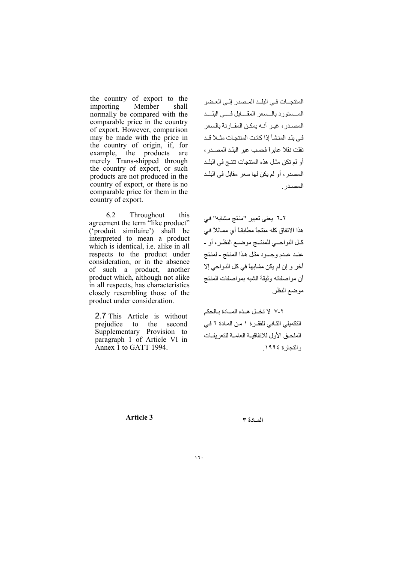the country of export to the importing Member shall normally be compared with the comparable price in the country of export. However, comparison may be made with the price in the country of origin, if, for example, the products are<br>merely Trans-shipped through the country of export, or such products are not produced in the country of export, or there is no comparable price for them in the country of export.

Throughout 6.2 this agreement the term "like product" ('produit similaire') shall be interpreted to mean a product which is identical, *i.e.* alike in all respects to the product under consideration, or in the absence of such a product, another product which, although not alike in all respects, has characteristics closely resembling those of the product under consideration.

2.7 This Article is without second prejudice to the Supplementary Provision to paragraph 1 of Article VI in Annex 1 to GATT 1994.

المنتجسات في البليد المصدر إلىي العضو المسستورد بالسسعر المقسابل فسى البلسد المصدر ، غير أنـه يمكن المقـارنة بالسعر في بلد المنشأ إذا كانت المنتجات مثـلاً قـد نقلت نقلاً عابر أ فحسب عبر البلد المصدر ، أو لم تكن مثـل هذه المنتجات تنتـج في البلـد المصدر ، أو لم يكن لها سعر مقابل في البلـد المصدر

٢-٦ يعني تعبير "منتج مشابه" في هذا الاتفاق كله منتجاً مطابقــاً أي ممـاثلاً فـي كـل النو احـــى للمنتــج مو ضــع النظـر ، أو -عنبد عبدم وجسود مثل هذا المنتج - لمنتج أخر و إن لم يكن مشابهاً في كل النو احي إلا أن مو اصفاته و ثبقة الشبه بمو اصفات المنتج موضع النظر

٢-٧ لا تخل هـذه المـادة بالحكم التكميلي الثاني للفقرة ١ من المادة ٦ في الملحـق الأول للاتفاقيـة العامـة للتعر يفـات والتجارة ١٩٩٤.

**Article 3** 

المادة ٣

 $\sqrt{7}$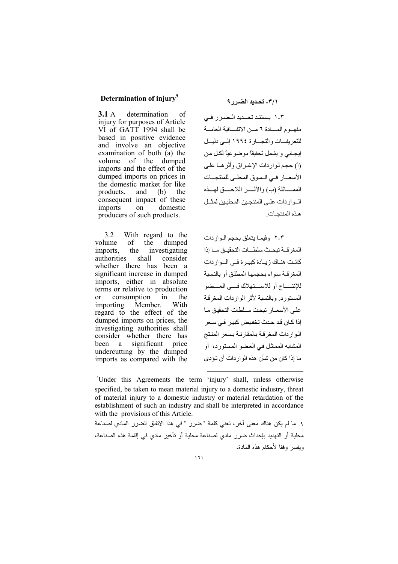#### Determination of injury<sup>9</sup>

 $3.1A$ determination of injury for purposes of Article VI of GATT 1994 shall be based in positive evidence and involve an objective examination of both (a) the volume of the dumped imports and the effect of the dumped imports on prices in the domestic market for like products, and (b) the consequent impact of these imports on domestic producers of such products.

 $3.2$ With regard to the volume of the dumped imports, the investigating authorities shall consider whether there has been a significant increase in dumped imports, either in absolute terms or relative to production consumption <sub>or</sub> in the importing Member. With regard to the effect of the dumped imports on prices, the investigating authorities shall consider whether there has been a significant price undercutting by the dumped imports as compared with the

### ٣/١- تحديد الضرر ٩

٠-٢ يستند تحليد اللضرار في مفهـوم المــادة ٦ مــن الاتفــاقبة العامــة للنعر بفسات والنجسار ة ١٩٩٤ إلى دلبسل إيجـابي و يشمل تحقيقاً موضوعياً لكـل من (أ) حجم لواردات الإغراق وأثرها على الأسعــار فــي الــسوق المحلــي للمنتجـــات الممسائلة (ب) والأتسر اللاحسق لمسذه السوار دات علـى المنتجـين المحليـين لمثــل هذه المنتحـات

٢-٢ وفيمـا يتعلق بحجم الـواردات المغر قبة تبحث سلطيات التحقيق ميا اذا كانت هناك زيادة كبيرة في المواردات المغر قبة سواء بحجمها المطلق أو بالنسبة للإنتســاج أو للاســـتهلاك فســى العـــضو المستورد وبالنسبة لأثر الواردات المغرقة على الأسعبار تبحث سلطات التحقيق مبا إذا كـان قد حـدث تخفيض كبيـر ً فـي سـعر الواردات المغرقة بالمقارنية بسعر المنتج المشابه المماثل في العضو المستورد، أو ما اذا كان من شأن هذه الو ار دات أن تؤدي

<sup>\*</sup>Under this Agreements the term 'injury' shall, unless otherwise specified, be taken to mean material injury to a domestic industry, threat of material injury to a domestic industry or material retardation of the establishment of such an industry and shall be interpreted in accordance with the provisions of this Article.

٩. ما لم يكن هناك معنى آخر، تعنى كلمة " ضرر " في هذا الاتفاق الضرر المادي لصناعة محلية أو التهديد بإحداث ضرر مادي لصناعة محلية أو تأخير مادي في إقامة هذه الصناعة، وبفسر وفقا لأحكام هذه المادة.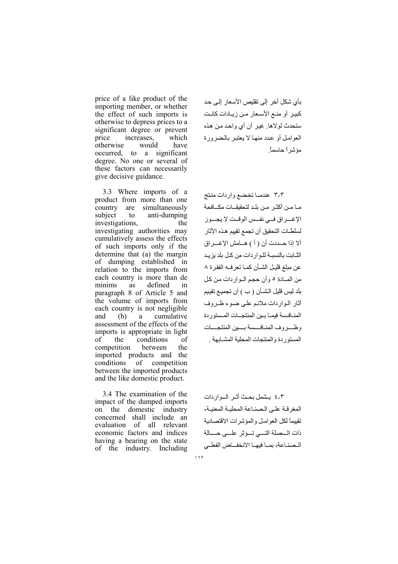price of a like product of the importing member, or whether the effect of such imports is otherwise to depress prices to a significant degree or prevent increases, price which otherwise would have occurred, to a significant degree. No one or several of these factors can necessarily give decisive guidance.

3.3 Where imports of a product from more than one simultaneously country are subject anti-dumping  $f_{\Omega}$ investigations, the investigating authorities may cumulatively assess the effects of such imports only if the determine that (a) the margin of dumping established in relation to the imports from each country is more than de minims as defined in paragraph 8 of Article 5 and the volume of imports from each country is not negligible cumulative and (b) a assessment of the effects of the imports is appropriate in light conditions of the of competition between the imported products and the conditions of competition between the imported products and the like domestic product.

3.4 The examination of the impact of the dumped imports on the domestic industry concerned shall include an evaluation of all relevant economic factors and indices having a bearing on the state of the industry. Including

بأي شكل أخر إلى تقليص الأسعار إلى حد كبير أو منـع الأسـعار مـن زيـادات كانـت ستحدث لولاها. غير أن أي واحد من هذه العوامل أو عدد منها لا يعتبر بالضرورة مؤشر أحاسماً

٣-٣ عندمـاتخضع واردات منتج مـا مـن أكثـر مـن بلـد لتحقيقــات مكــافحة الإغسراق فسي نفسس الوقست لا يجسوز لسلطـات التحقيق أن تجمع تقييم هـذه الآثار ألا إذا حــددت أن ( أ ) هــامش الإغـــر إق الشابت بالنسبة للواردات من كل بلد يزيد عن مبلغ قليل الشـأن كمـا تعرفـه الفقر ة ٨ من الملدة ٥ وأن حجم المواردات من كل بلد ليس قليل الشــأن ( ب ) أن تجميـع تقييم أثار الواردات ملائم على ضوء ظروف المنبافسة فبمبا بببن المنتجبات المستوردة وظسروف المنافسسة بسين المنتجسات المستوردة والمنتجات المحلبة المشبابهة

٤-٢ بيشمل بحث أثير البواردات المغر قبة على الصناعة المحلبة المعنبة، تقييماً لكل العو امـل و المؤشر ات الاقتصـادية ذات السصلة التسى تسؤثر علسى حسالة السصناعة، يميا فيهيا الانخفياض الفعلي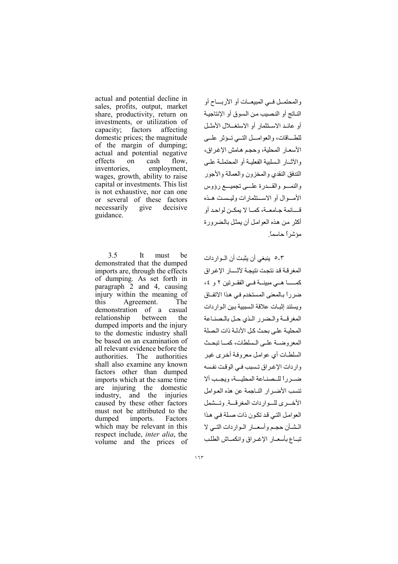actual and potential decline in sales, profits, output, market share, productivity, return on investments, or utilization of factors capacity; affecting domestic prices; the magnitude of the margin of dumping; actual and potential negative effects on cash flow. inventories, employment, wages, growth, ability to raise capital or investments. This list is not exhaustive, nor can one or several of these factors necessarily give decisive guidance.

 $3.5$  $It$ must he demonstrated that the dumped imports are, through the effects of dumping. As set forth in paragraph 2 and 4, causing injury within the meaning of Agreement. this The demonstration of a casual relationship between the dumped imports and the injury to the domestic industry shall be based on an examination of all relevant evidence before the authorities. The authorities shall also examine any known factors other than dumped imports which at the same time are injuring the domestic industry, and the injuries caused by these other factors must not be attributed to the dumped imports. Factors which may be relevant in this respect include, *inter alia*, the volume and the prices of

والمحتمـل فــي المبيعــات أو الأربـــاح أو الناتج أو النصيب من السوق أو الإنتاجية أو عائد الاستثمار أو الاستغــلال الأمثـل للطساقات، والعوامل التسي تسؤثر علمي الأسعـار المحلية، وحجم هـامش الإغراق، والآثيار السليبة الفعلية أو المحتملية علي التدفق النقدى والمخز ون والعمالة والأجور والنمسو والقسدرة علسى تجميسع رؤوس الأمسوال أو الاستنثمار ات وليسبت هـذه فَسَائِمة حيامعية، كميا لا يمكين لواحد أو أكثر من هذه العوامل أن يمثل بالضرورة مؤشر أحاسماً

٣-٥ ينبغي أن يثبت أن الـو ار دات المغر قبة قد نتحت نتيجة لآثسار الإغراق ضرراً بالمعنى المستخدم في هذا الاتفاق ويستند اثبات علاقة السيبية بين البوار دات المغرقة والمضرر الذى حل بالصناعة المحلبة على بحث كل الأدلية ذات الصلة المعر وضية على السلطات، كميا تبحث السلطـات أي عوامل معروفـة أخرى غير واردات الإغراق تسبب في الوقت نفسه ضير رأ للبصناعة المجلسة، ويجب ألا تنسب الأضير ار النباجمة عن هذه العوامل الأخسري للسواردات المغرقسة وتسشمل العوامل التے قد تکون ذات صلة فے هذا الشأن حجم وأسعـار المواردات التمي لا تبباع بأسعبار الإغير اق وانكصاش الطلب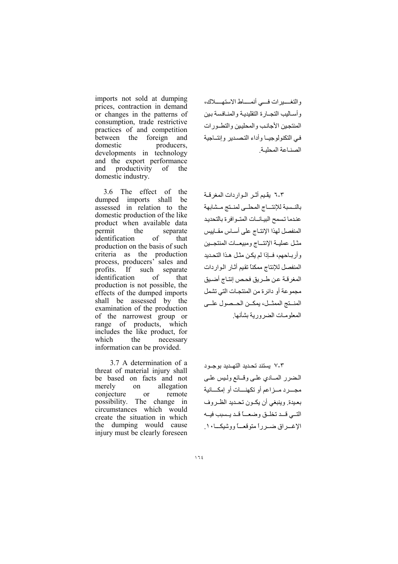imports not sold at dumping prices, contraction in demand or changes in the patterns of consumption, trade restrictive practices of and competition between the foreign and domestic producers, developments in technology and the export performance and productivity of the domestic industry.

3.6 The effect of the dumped imports shall be assessed in relation to the domestic production of the like product when available data permit the separate identification  $\sigma$ f that production on the basis of such criteria as the production process, producers' sales and such separate profits. If  $\sigma$ f identification that production is not possible, the effects of the dumped imports shall be assessed by the examination of the production of the narrowest group or range of products, which includes the like product, for which the necessary information can be provided.

3.7 A determination of a threat of material injury shall be based on facts and not merely  $\alpha$ allegation conjecture remote <sub>or</sub> possibility. The change in circumstances which would create the situation in which the dumping would cause injury must be clearly foreseen

والتغسيرات فسي أنمساط الاستهسلاك، وأساليب التجبارة التقليدية والمنافسة بين المنتجبن الأجانب والمحلبين والتطـور ات فى التكنولوجيا وأداء التصدير وإنتباحية الصناعة المحلية

٣-٦ يقيم أثـر الـوار دات المغر قـة بالنسبة للإنتساج المحلبي لمنتج مشابهة عندما تسمح البيانيات المتبوافرة بالتحديد المنفصل لهذا الإنتـاج على أسـاس مقـابيس مثل عملية الإنتساج ومبيعسات المنتجمين وأربـاحهم، فــإذا لم يكن مثـل هـذا التحـديد المنفصل للإنتاج ممكناً تقيم أثار الواردات المغرقة عن طريق فحص إنتاج أضيق مجموعة أو دائر ة من المنتجـات التي تشمل المنستج الممثل، يمكـن الحـصول علــى المعلوميات الضروربة بشأنها

۷-۳ بستند تحدید التهـدید بوجـود المضرر المسادي علمى وقسائع ولميس علمى مجسر د مسز اعم أو تكهنسات أو إمكسانية بعيدة. وينبغي أن يكبون تحبديد الظبر وف التسي قسد تخليق وضعساً قيد يسبب فيسه الإغــراق ضــرراً متوقعــاً ووشيكــا ١٠.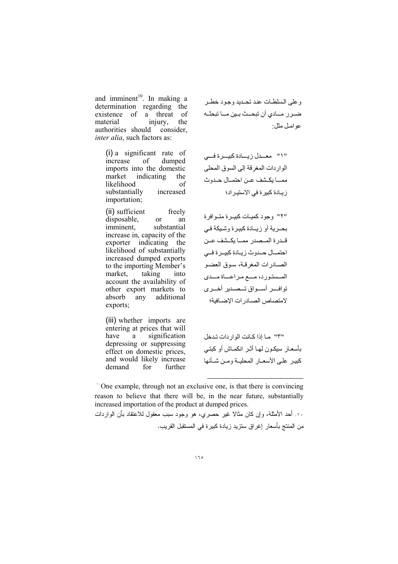and imminent<sup>10</sup>. In making a determination regarding the of a threat of existence material iniury. the authorities should consider. *inter alia*, such factors as:

> $(i)$  a significant rate of increase of dumped imports into the domestic market indicating the likelihood of substantially increased importation;

> (ii) sufficient freely disposable, <sub>or</sub> an imminent. substantial increase in, capacity of the exporter indicating the likelihood of substantially increased dumped exports to the importing Member's market, taking into account the availability of other export markets to  $an<sub>y</sub>$ additional absorb exports;

> (iii) whether imports are entering at prices that will have a signification depressing or suppressing effect on domestic prices, and would likely increase demand for further

وعلى السلطات عند تحيديد وجود خطير ضـرر مــادي أن تبحــث بـين مــا تبحثــه عو امـل مثل:

"١" معــدل زيــادة كبيــرة فـــى الواردات المغرقة إلى السوق المحلي ممــا يكـشف عـن احتمــال حـدوث زيـادة كبيرة في الاستيراد؛

"۲" وجود کمیات کبیر ة متوافر ة بحـرية أو زيـادة كبيرة وشيكة فـي قـدرة المـصدر ممــا يكــشف عــن احتمــال حــدوث زيـادة كبيــرة فــى الصبادرات المغرقة، سوق العضو المسستورد، مسع مراعساة مسدى توافسر أسواق تسصدير أخسري لامتصاص الصبادرات الإضبافية؛

"٣" ما إذا كانت الوار دات تدخل بأسعـار سيكـون لمهـا أثـر انكمـاش أو كبتـى كبير على الأسعبار المحليبة ومين شبأنها

'One example, through not an exclusive one, is that there is convincing reason to believe that there will be, in the near future, substantially increased importation of the product at dumped prices.

١٠. أحد الأمثلة، وإن كان مثالا غير حصري، هو وجود سبب معقول للاعتقاد بأن الواردات من المنتج بأسعار إغراق ستزيد زيادة كبيرة في المستقبل القريب.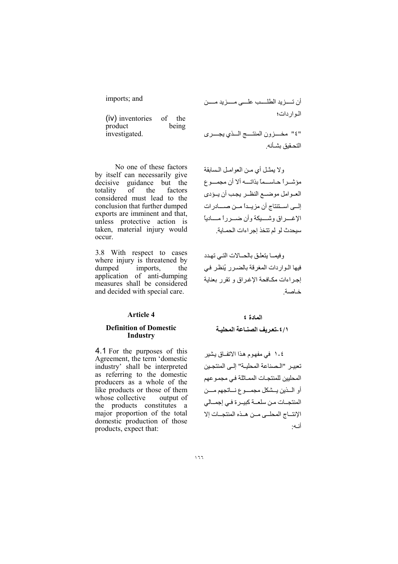imports; and

| (iv) inventories | of    | the |
|------------------|-------|-----|
| product          | being |     |
| investigated.    |       |     |

No one of these factors by itself can necessarily give decisive guidance but the  $\overline{0}$ totality the factors considered must lead to the conclusion that further dumped exports are imminent and that, unless protective action is taken, material injury would occur.

3.8 With respect to cases where injury is threatened by dumped imports, the application of anti-dumping measures shall be considered and decided with special care.

#### Article 4

#### **Definition of Domestic Industry**

4.1 For the purposes of this Agreement, the term 'domestic industry' shall be interpreted as referring to the domestic producers as a whole of the like products or those of them whose collective output of the products constitutes a major proportion of the total domestic production of those products, expect that:

أن تسـزيد الطلسـب علـــى مـــزيد مـــن المواردات؛

"٤" مخـــزون المنتـــج الـــذي يجـــرى التحقيق بشبأنه

ولا يمثِّل أي من العوامل السابقة مؤشير أيصابيسماً بذاتسه ألا أن محمسوع العبوامل موضيع النظير يجب أن يبؤدي إلىي استنتاج أن مزيداً مـن صـــادرات الإغسر اق وشسبكة وأن ضبر رأ مسادباً سيحدث لو لم تتخذ إجراءات الحمـاية.

وفيما يتعلق بالحبالات التي تهدد فيها الواردات المغرقة بالضرر يُنظر في إجراءات مكافحة الإغراق وتقرر بعناية خاصة

## المادة ٤ ٤/١ ـتعريف الصنباعة المحلبية

٤-١ في مفهوم هذا الاتفاق يشير تعبير "المصناعة المحلية" إلى المنتجين المحليين للمنتجات المماثلة في مجموعهم أو المذين يسشكل مجمسوع نساتجهم مسن المنتجــات مـن سلعــة كبيــرة فـي إجمــالي الانتساج المحلبي مين هيذه المنتجبات إلا أنـه: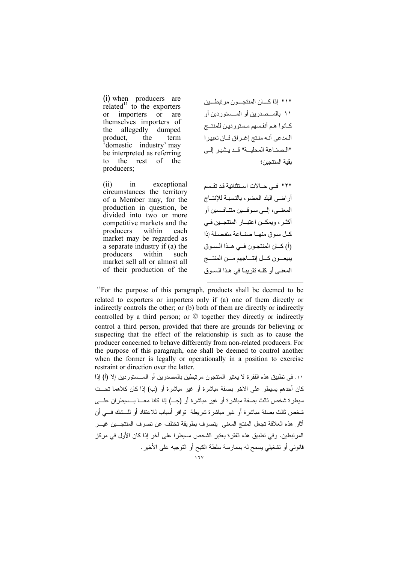(i) when producers are related<sup>11</sup> to the exporters importers <sub>or</sub> <sub>or</sub> are themselves importers of allegedly the dumped product. the term domestic industry' may be interpreted as referring to the rest of the producers;

 $(ii)$  $in$ exceptional circumstances the territory of a Member may, for the production in question, be divided into two or more competitive markets and the producers within each market may be regarded as a separate industry if (a) the producers within such market sell all or almost all of their production of the " ١" إذا كسان المنتجسون مر تبطيين ١١ بالمسصدرين أو المسستوردين أو كبانوا هم أنفسهم مستوردين للمنتسج المدعى أنه منتج إغراق فان تعبيرا "الصناعة المحلية" قد يشير إلى يقية المنتجين؛

"٢" في حــالات اسـتثنائية قد تقـسم أر اضبي البلد العضو ، بالنسبية للإنتساج المعنبي، البي سو قسين متنافسين أو أكثـر، ويمكــن اعتبــار المنتجــين فــي كيل سوق منهيا صنباعة منفصلة اذا (أ) كبان المنتجبون فبي هبذا السبوق ببيعسون كسل إنتساجهم مسن المنتسج المعنى أو كلَّـه تقريبيًّا في هذا السوق

The purpose of this paragraph, products shall be deemed to be related to exporters or importers only if (a) one of them directly or indirectly controls the other; or (b) both of them are directly or indirectly controlled by a third person; or  $\heartsuit$  together they directly or indirectly control a third person, provided that there are grounds for believing or suspecting that the effect of the relationship is such as to cause the producer concerned to behave differently from non-related producers. For the purpose of this paragraph, one shall be deemed to control another when the former is legally or operationally in a position to exercise restraint or direction over the latter.

١١. في تطبيق هذه الفقر ة لا يعتبر المنتجون مر تبطين بالمصدر بن أو المـــستور دين إلا (أ) إذا كان أحدهم يسيطر على الآخر بصفة مباشرة أو غير مباشرة أو (ب) إذا كان كلاهما تحــت سبطر ة شخص ثالث بصفة مباشر ة أو غير ٍ مباشر ة أو (جـــ) اذا كانا معـــا بـــسبطر ان علـــــى شخص ثالث بصفة مباشرة أو غير مباشرة شريطة توافر أسباب للاعتقاد أو للـــشك فــــى أن أثار هذه العلاقة تجعل المنتج المعنى ايتصرف بطريقة تختلف عن تصرف المنتجــين غيــر المرتبطين. وفي تطبيق هذه الفقرة يعتبر الشخص مسيطرا على آخر إذا كان الأول في مركز قانوني أو تشغيلي يسمح له بممارسة سلطة الكبح أو التوجيه على الأخير .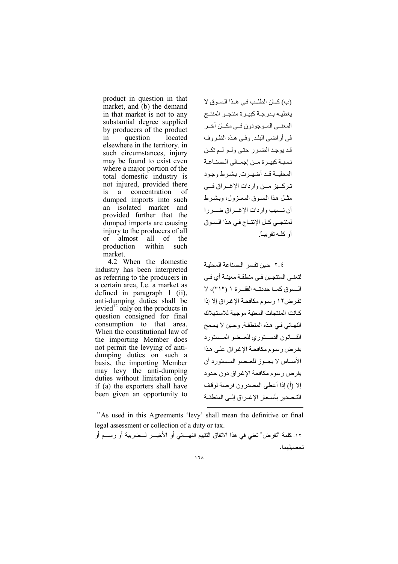product in question in that market, and (b) the demand in that market is not to any substantial degree supplied by producers of the product in question located elsewhere in the territory. in such circumstances, injury may be found to exist even where a major portion of the total domestic industry is not injured, provided there is a concentration of dumped imports into such an isolated market and provided further that the dumped imports are causing injury to the producers of all or almost all of the production within such market.

 4.2 When the domestic industry has been interpreted as referring to the producers in a certain area, I.e. a market as defined in paragraph 1 (ii), anti-dumping duties shall be levied<sup>12</sup> only on the products in question consigned for final consumption to that area. When the constitutional law of the importing Member does not permit the levying of antidumping duties on such a basis, the importing Member may levy the anti-dumping duties without limitation only if (a) the exporters shall have been given an opportunity to

(ب) كــان الطلـب في هـذا السوق لا يغطيه بـدرجـة كبيـرة منتجـو المنتـج المعنـي المـوجودون فـي مكــان أخـر في أراضي البلد. وفي هذه الظروف قد یوجد الضر رحتے وليو ليم تکن نسبة كبيـر ة مـن إجمـالي الـصنـاعـة المحليـــة قــد أضيــر ت بــ بشـر ط و جـو د تر كــيز مــن و ار دات الإغــر اق فـــى مثـل هذا السوق المعـزول، وبشـرط أن تــسبب واردات الإغــراق ضـــر را لمنتجبي كـل الإنتــاج فـي هذا السـوق أو كلـه تقریبــًا

٢-٢ حين تفسر الصناعة المحلبة لتعني المنتجين في منطقة معينــة أي فـي السوق كما حددته الفقرة ١ ("١")، لا تفرض١٢ رسوم مكافحة الإغراق إلا إذا كـانت المنتجات المعنبة موجهة للاستهلاك النهائي في هذه المنطقة. وحين لا يسمح القسانون الدستوري للعسضو المسستورد بفرض رسوم مكافحة الإغراق على هذا الأساس لا يجـوز للعـضو المـستورد أن يفر ض رسوم مكافحة الإغراق دون حدود إلا (أ) إذا أعطى المصدر ون فرصة لوقف التـصدير بأسـعار الإغـراق إلـي المنطقـة l

<sup>١٢</sup>As used in this Agreements 'levy' shall mean the definitive or final legal assessment or collection of a duty or tax.

. ١٢ كلمة "تفرض" تعني في هذا الاتفاق التقييم النهـائي أو الأخيـر لـضريبة أو رسـم أو تحصيلهما.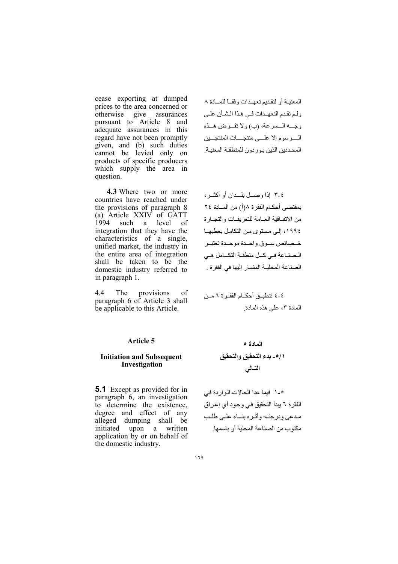cease exporting at dumped prices to the area concerned or assurances otherwise give pursuant to Article 8 and adequate assurances in this regard have not been promptly given, and (b) such duties cannot be levied only on products of specific producers which supply the area in question.

4.3 Where two or more countries have reached under the provisions of paragraph 8 (a) Article XXIV of GATT 1994 such a level - of integration that they have the characteristics of a single, unified market, the industry in the entire area of integration shall be taken to be the domestic industry referred to in paragraph 1.

 $4.4$ The provisions  $\sigma$ f paragraph 6 of Article 3 shall be applicable to this Article.

المعنيــة أو لتقديم تعهــدات و فقــاً للمـــادة ٨ ولم تقدم التعهيدات في هذا الشبأن علي وجسه السسرعة، (ب) ولا تفيرض هيذه السرسوم إلا علسى منتجسات المنتجسين المحددين الذين يور دون للمنطقة المعنية.

٤-٣ إذا وصل بلــدان أو أكثــر ، بمقتضى أحكـام الفقرة ٨(أ) من المـادة ٢٤ من الاتفاقية العبامة للتعريفيات والتجبار ة ١٩٩٤، إلى مستوى من التكامل بعطبهـا خيصائص سيوق واحيدة موحيدة تعتبير الصناعة في كل منطقة التكلمل هي الصناعة المحلية المشار إليها في الفقرة .

٤-٤ تنطبــق أحكــام الفقــرة ٦ مــن المادة ٣، على هذه المادة

## **Article 5**

#### **Initiation and Subsequent** Investigation

**5.1** Except as provided for in paragraph 6, an investigation to determine the existence, degree and effect of any alleged dumping shall be initiated upon a written application by or on behalf of the domestic industry.

# المادة ٥ ٥/١- بدء التحقيق والتحقيق التسالى

٥-١ فيما عدا الحالات الواردة في الفقرة ٦ يبدأ التحقيق في وجود أي إغراق مدعى ودرجته وأثره بنساء علىى طلب مكتوب من الصناعة المحلية أو باسمها.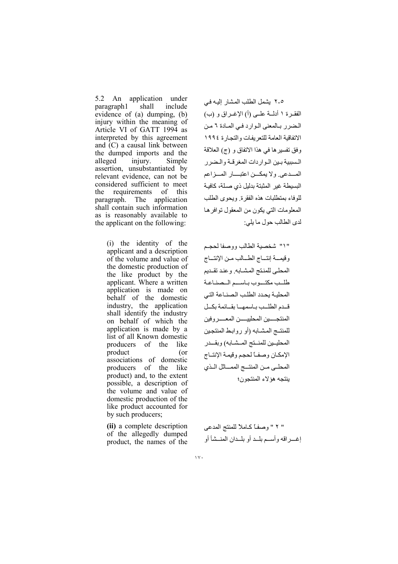5.2 An application under shall include paragraph1 evidence of  $(a)$  dumping.  $(b)$ injury within the meaning of Article VI of GATT 1994 as interpreted by this agreement and  $(C)$  a causal link between the dumped imports and the injury. alleged Simple assertion, unsubstantiated by relevant evidence, can not be considered sufficient to meet requirements of this the paragraph. The application shall contain such information as is reasonably available to the applicant on the following:

> (i) the identity of the applicant and a description of the volume and value of the domestic production of the like product by the applicant. Where a written application is made on behalf of the domestic industry, the application shall identify the industry on behalf of which the application is made by a list of all Known domestic producers of the like product  $($ or associations of domestic producers of the like product) and, to the extent possible, a description of the volume and value of domestic production of the like product accounted for by such producers;

(ii) a complete description of the allegedly dumped product, the names of the

٥-٢ يشمل الطلب المشار إليه في الفقـرة ١ أدلــة علــي (أ) الإغـراق و (ب) المضرر بالمعنى الوارد في المادة ٦ من الاتفاقية العامة للتعريفات والتجارة ١٩٩٤ وفق تفسير ها في هذا الاتفاق و (ج) العلاقة المسبية بين المواردات المغرقة والمضرر المسدعي ولا يمكسن اعتبسار المسز اعم البسيطة غير المثبتة بدليل ذي صلة، كافية للوفاء بمتطلبات هذه الفقرة ويحوى الطلب المعلومات التي يكون من المعقول توافر ها لدى الطالب حول ما يلي:

"١" شخصية الطالب ووصفا لحجم وقيمة إنتاج الطسالب من الإنتساج المحلبي للمنتج المشبابه وعند تقديم طلب مكتسوب باسيم الصناعة المحلية يحدد الطلب الصناعة التي قبدم الطلب باسمها بقيائمة بكيل المنتجسين المحلبيسين المعسير وفين للمنتج المشابه (أو روابط المنتجين المحليــين للمنــتج المــشــابـه) وبقـــدر الإمكان وصفأ لحجم وقيمة الإنتـاج المحلبي مـن المنتــج الممــاثل الـذي بنتجه هؤ لاء المنتجون؛

" ٢ " وصفـًّا كـاملاً للمنتج المدعى إغسر اقه و أسسم بليد أو بليدان المنسشأ أو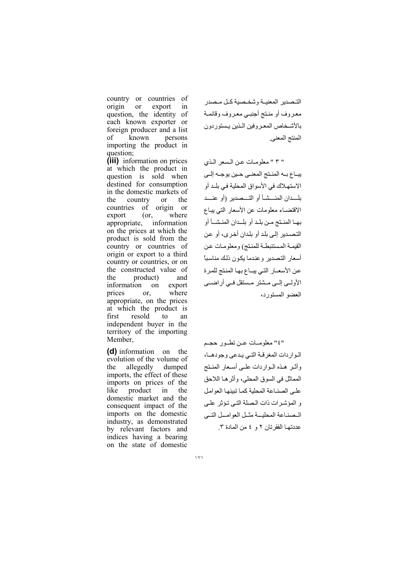country or countries of origin or export in question, the identity of each known exporter or foreign producer and a list  $\alpha$ f known persons importing the product in question;

(iii) information on prices at which the product in question is sold when destined for consumption in the domestic markets of the country or the countries of origin or export  $($ or, where appropriate, information on the prices at which the product is sold from the country or countries of origin or export to a third country or countries, or on the constructed value of the product) and information on export prices or. where appropriate, on the prices at which the product is first resold to an independent buyer in the territory of the importing Member,

(d) information on the evolution of the volume of allegedly dumped the imports, the effect of these imports on prices of the like product in the domestic market and the consequent impact of the imports on the domestic industry, as demonstrated by relevant factors and indices having a bearing on the state of domestic

التصدير المعنية وشخصية كل مصدر معروف أو منتج أجنبي معروف وقائمة بالأشخاص المعروفين البنين يستوردون المنتج المعنى

" ٣ " معلومات عن السعر الذي يبــاع بــه المنــتج المعنــى حــين يو جــه إلــى الاستهلاك في الأسواق المحلية في بلـد أو بلـــدان المنــــشــأ أو التــــصدير (أو عنــــد الاقتضـاء معلومات عن الأسعار التي يبـاع بهـا المنـتج مـن بلـد أو بلــدان المنـشــأ أو التصدير إلى بلد أو بلدان أخر ي، أو عن القيمـة المستنبطـة للمنـتج) ومعلومـات عن أسعار التصدير وعندما يكون ذلك مناسبا عن الأسعـار التي يبــاع بهـا المنتج للمرة الأولىي إلىي مىشتر مىستقل فىي أر اضىي العضبو المستورد،

"٤" معلومات عـن تطـور حجـم الواردات المغرقة التي يدعى وجودها، وأثير هذه البوار دات عليي أسبعار المنبتج المماثل في السوق المحلي، و أثر هـا اللاحق على الصناعة المحلية كما تبينها العوامل و المؤشرات ذات الصلة التي تؤثر على المصناعة المجلسة مثيل العواميل التسى عددتهـا الفقر تان ٢ و ٤ من المادة ٣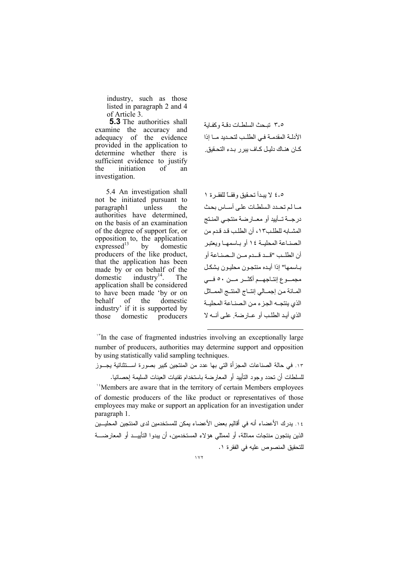industry, such as those listed in paragraph 2 and 4 of Article 3.

**5.3** The authorities shall examine the accuracy and adequacy of the evidence provided in the application to determine whether there is sufficient evidence to justify of the initiation an investigation.

5.4 An investigation shall not be initiated pursuant to unless the paragraph1 authorities have determined, on the basis of an examination of the degree of support for, or opposition to, the application  $expressed$ <sup>13</sup> domestic  $hv$ producers of the like product, that the application has been made by or on behalf of the domestic industry $^{14}$ . The application shall be considered to have been made 'by or on behalf - of the domestic industry' if it is supported by domestic those producers 0-٣ تبحث السلطات دقية وكفاية الأدلية المقدمية في الطلب لتحيديد ميا اذا كـان هنــاك دليـل كــاف يبر ر بـدء التحـقيق.

٥-٤ لا يبدأ تحقيق وفقيًا للفقير ة ١ مبا لم تحدد السلطات على أسباس بحث درجــة تــأييد أو معــارضة منتجـى المنـتج المشبابه للطلب١٣، أن الطلب قد قدم من الصنباعة المحلبية ١٤ أو بياسمها وبعتبر أن الطلب "قبد قبدم مين البصناعة أو بـاسمها" إذا أيـده منتجـون محليـون يشكـل مجمسوع إنتــاجـهـــم أكثــــر مـــن ٥٠ فــــي المبائة من إجميالي إنتباج المنتبج الممباثل الذي ينتجــه الجزء من الصنــاعة المحليــة الذي أبيد الطلب أو عبار ضبة على أنسه لا

<sup>1</sup>In the case of fragmented industries involving an exceptionally large number of producers, authorities may determine support and opposition by using statistically valid sampling techniques.

١٣. في حالة الصناعات المجزأة التي بها عدد من المنتجين كبير بصورة اســتثنائية يجــوز للسلطات أن تحدد وجود التأييد أو المعارضة باستخدام نقنيات العينات السليمة إحصائيا. <sup>14</sup>Members are aware that in the territory of certain Members employees of domestic producers of the like product or representatives of those employees may make or support an application for an investigation under paragraph 1.

١٤. بدر ك الأعضاء أنه في أقاليم بعض الأعضاء بمكن للمستخدمين لدى المنتجين المحلبــين الذين ينتجون منتجات مماثلة، أو لممثلي هؤ لاء المستخدمين، أن بيدو ا التأييــد أو المعار ضـــة للتحقيق المنصوص عليه في الفقر ة ١.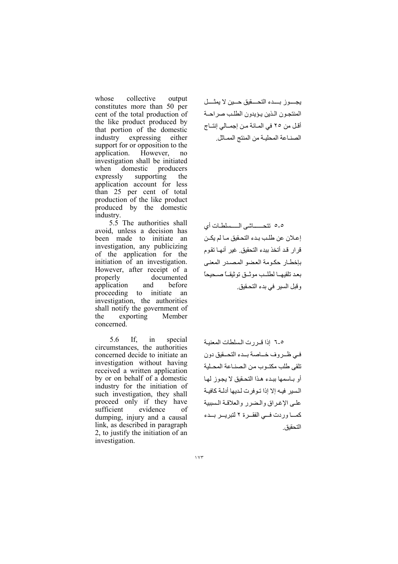whose collective output constitutes more than 50 per cent of the total production of the like product produced by that portion of the domestic industry expressing either support for or opposition to the application. However, no investigation shall be initiated when domestic producers expressly supporting the application account for less than 25 per cent of total production of the like product produced by the domestic industry.

5.5 The authorities shall avoid, unless a decision has been made to initiate an investigation, any publicizing of the application for the initiation of an investigation. However, after receipt of a properly documented application and before proceeding to initiate an investigation, the authorities shall notify the government of the exporting Member concerned.

5.6 If.  $in$ special circumstances, the authorities concerned decide to initiate an investigation without having received a written application by or on behalf of a domestic industry for the initiation of such investigation, they shall proceed only if they have sufficient evidence of dumping, injury and a causal link, as described in paragraph 2, to justify the initiation of an investigation.

يجوز بدء التحقيق حين لا يمثل المنتجون الذين يؤيدون الطلب صراحة أقل من ٢٥ في المائة من إجمـالي إنتـاج الصنـاعة المحليـة من المنتج الممـاثل.

٥-٥ نتحسساشي المسسلطات أي إعلان عن طلب بدء التحقيق مـا لم يكـن قر ار قد أتخذ ببدء التحقيق غير أنهـا تقوم بإخطار حكومة العضو المصدر المعنى بعد تلقيهما لطلب موثىق توثيقاً صحيحاً وقبل السير في بدء التحقيق.

0-٦ إذا قررت السلطات المعنية في ظروف خـاصة بـدء التحـقيق دون تلقى طلب مكتوب من الصناعة المحلية أو باسمها ببدء هذا التحقيق لا يجوز لها السير فيه إلا إذا تـوفرت لـديها أدلــة كافيــة على الإغراق والضرر والعلاقة السببية كمسا وردت فسى الفقيرة ٢ لتبريير يسدء التحقيق.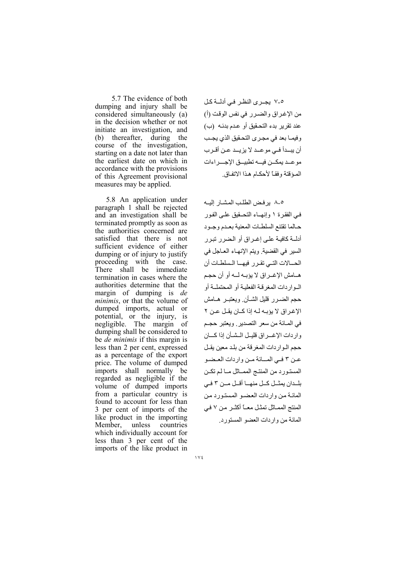5.7 The evidence of both dumping and injury shall be considered simultaneously (a) in the decision whether or not initiate an investigation, and (b) thereafter, during the course of the investigation, starting on a date not later than the earliest date on which in accordance with the provisions of this Agreement provisional measures may be applied.

5.8 An application under paragraph 1 shall be rejected and an investigation shall be terminated promptly as soon as the authorities concerned are satisfied that there is not sufficient evidence of either dumping or of injury to justify proceeding with the case. There shall be immediate termination in cases where the authorities determine that the margin of dumping is *de minimis*, or that the volume of dumped imports, actual or potential, or the injury, is negligible. The margin of dumping shall be considered to be *de minimis* if this margin is less than 2 per cent, expressed as a percentage of the export price. The volume of dumped imports shall normally be regarded as negligible if the volume of dumped imports from a particular country is found to account for less than 3 per cent of imports of the like product in the importing Member, unless countries which individually account for less than 3 per cent of the imports of the like product in ٥-٧ يجرى النظر في أدلــة كل من الإغراق والضرر في نفس الوقت (أ) عند تقرير بدء التحقيق أو عدم بدئـه (ب) وفيمـا بعد في مجـري التحـقيق الذي يجـب أن يبــدأ فــي مو عــد لا يز يــد عـن أقـر ب مو عبد يمكين فيه تطييبق الإحسر إءات الميؤ قتة وفقيًا لأحكــام هـذا الاتفـاق

٥-٨ بر فض الطلب المشبار البــه في الفقر ۃ ۱ وإنهــاء التحــقيق علــى الفـور حبالما تقتنع السلطيات المعنية بعبدم وجبود أدلَّــة كافيــة علــى اغــر اق أو البضر ر تبير ر السير في القضية ويتم الإنهاء العاجل في الحسالات التبي تقرر فيهيا السلطيات أن هــامش الإغــر اق لا يؤبــه لـــه أو أن حجـم البوار دات المغر قبة الفعلية أو المحتملية أو حجم الضيرر قلبل الشيأن وبعتبير هيامش الإغراق لا يؤبه له إذا كان يقل عن ٢ في المبائة من سعر التصدير , ويعتبر حجيم واردات الإغسراق قليل المشأن إذا كسان حجم البو ار دات المغر قة من بلد معين يقـل عـن ٣ فـي المــانة مـن واردات العـضـو المستورد من المنتج الممسائل مسالم تكن بلدان بمثل كل منها أقل من ٣ في المائة من واردات العضو المستورد من المنتج الممـاتْل تمثـل معــّا أكثــر مـن ٧ فـي المائة من واردات العضو المستورد.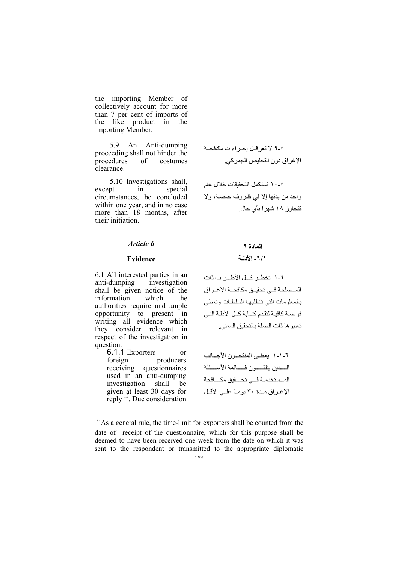the importing Member of collectively account for more than 7 per cent of imports of the like product in the importing Member.

5.9 An Anti-dumping proceeding shall not hinder the procedures of costumes clearance.

5.10 Investigations shall, except  $in$ special circumstances, be concluded within one year, and in no case more than 18 months, after their initiation.

#### Article 6

#### **Evidence**

6.1 All interested parties in an anti-dumping investigation shall be given notice of the information which the authorities require and ample opportunity to present in writing all evidence which they consider relevant in respect of the investigation in question.

> 6.1.1 Exporters or producers foreign receiving questionnaires used in an anti-dumping investigation shall be given at least 30 days for reply <sup>15</sup>. Due consideration

٥-٩ لا تعر قبل إجبر اءات مكافحية الإغراق دون التخليص الجمركي.

٥ ـ ١٠ تستكمل التحقيقات خلال عام واحد من بدئها إلا في ظروف خاصية، ولا تتجاوز ۱۸ شهراً بأي حال

## المادة ٢ ٦/١- الأدلية

٦-١ تخطـر كــل الأطــر اف ذات المصلحة في تحقيق مكافحة الإغراق بالمعلومات التى تتطلبها السلطات وتعطى فر صبة كافيـة لتقدم كتــابـة كــل الأدلـة التــى تعتبر ها ذات الصلة بالتحقيق المعنى.

٦-١-١ يعطـي المنتجــون الأجـــانب السذين يتلقسون قسسائمة الأسسئلة المسستخدمية فسى تحسقيق مكسافحة الإغراق مدة ٣٠ يوماً على الأقل

<sup>1</sup>As a general rule, the time-limit for exporters shall be counted from the date of receipt of the questionnaire, which for this purpose shall be deemed to have been received one week from the date on which it was sent to the respondent or transmitted to the appropriate diplomatic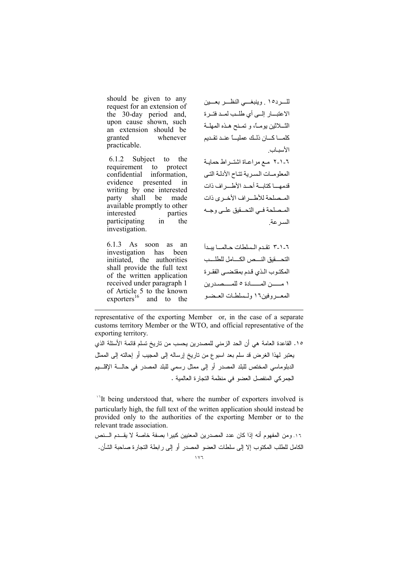should be given to any request for an extension of the 30-day period and. upon cause shown, such an extension should be granted whenever practicable.

6.1.2 Subject to the requirement to protect confidential information. evidence presented in writing by one interested shall be made party available promptly to other interested parties participating in the investigation.

6.1.3 As soon as an investigation has been initiated, the authorities shall provide the full text of the written application received under paragraph 1 of Article 5 to the known exporters<sup>16</sup> and to the

للسرده ١ . وينبغسي النظس بعسين الاعتبار إلىي أي طلب لمد فتـرة الثـــلاثين بومــًا، و تمــنح هــذه المهلــة كلمسا كسان ذليك عمليساً عنيد تقيدم الأسساب ٦-١-٢ مع مراعاة اشتـر اط حمايـة المعلومات السربة تتاح الأدلة التي قدمهـــا كتابــة أحــد الأطـــر اف ذات المسملحة للأطير اف الأخيري ذات المسلحة فبي التحسقيق علبي وجبه السر عة

٦-١-٣ تقدم السلطات حـالمــا يبـدأ التحسقيق النسص الكسامل للطلسب المكتوب الذي قدم بمقتضمي الفقرة ١ مـــــــــن المــــــــــادة ٥ للمــــــصـــدر بن المعــروفين١٦ ولـسلطـات العـضـو

representative of the exporting Member or, in the case of a separate customs territory Member or the WTO, and official representative of the exporting territory.

١٥. القاعدة العامة هي أن الحد الزمني للمصدرين يحسب من تاريخ تسلم قائمة الأسئلة الذي يعتبر لهذا الغرض قد سلم بعد اسبوع من ناريخ إرساله إلى المجيب أو إحالته إلى الممثل الدبلوماسي المختص للبلد المصدر أو إلى ممثل رسمي للبلد المصدر في حالــــة الإقلــــبم الجمر كي المنفصل العضو في منظمة النجار ة العالمية .

<sup>1</sup>It being understood that, where the number of exporters involved is particularly high, the full text of the written application should instead be provided only to the authorities of the exporting Member or to the relevant trade association.

١٦. ومن المفهوم أنه إذا كان عدد المصدرين المعنيين كبيرا بصفة خاصة لا يقـــدم الـــنص الكامل للطلب المكتوب إلا إلى سلطات العضو المصدر أو إلى رابطة التجارة صاحبة الشأن.  $\sqrt{7}$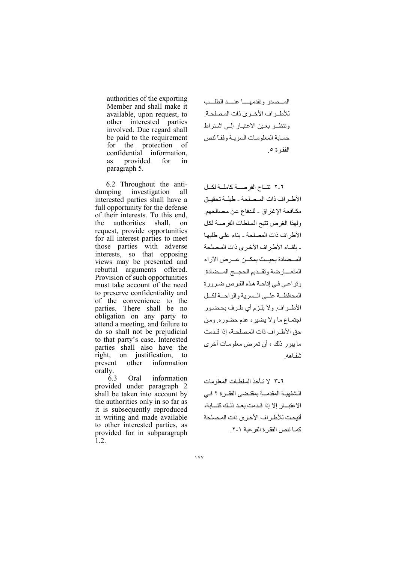authorities of the exporting Member and shall make it available, upon request, to other interested parties involved. Due regard shall be paid to the requirement for the protection of confidential information, as provided for in paragraph 5.

 6.2 Throughout the antidumping investigation all interested parties shall have a full opportunity for the defense of their interests. To this end, the authorities shall, on request, provide opportunities for all interest parties to meet those parties with adverse interests, so that opposing views may be presented and rebuttal arguments offered. Provision of such opportunities must take account of the need to preserve confidentiality and of the convenience to the parties. There shall be no obligation on any party to attend a meeting, and failure to do so shall not be prejudicial to that party's case. Interested parties shall also have the right, on justification, to present other information orally.

 6.3 Oral information provided under paragraph 2 shall be taken into account by the authorities only in so far as it is subsequently reproduced in writing and made available to other interested parties, as provided for in subparagraph  $\overline{1}$ .2.

المسصدر وتقدمهــا عنسد الطلسب للأطراف الأخرى ذات المصلحة. وتنظـر بعين الاعتبـار إلـى اشـتر اط حمـاية المعلومـات السريـة وفقـًا لنص الفقر ة ٥

٦-٢ تتاح الفرصة كاملة لكل الأطراف ذات المصلحة - طيلة تحقيق مكافحة الإغراق - للدفاع عن مصالحهم. ولهذا الغرض نتيح السلطات الفرصة لكل الأطراف ذات المصلحة - بناء على طلبها - بلقــاء الأطـر اف الأخـر ى ذات المصلحة المــضادة بحيــث يمكــن عــرض الآراء المتعسارضة وتقديم الحجسج المسضادة. وتراعى فى إتاحة هذه الفرص ضرورة المحافظة علمي المسرية والراحمة لكل الأطراف. ولا يلزم أي طرف بحضور اجتمـاع ما ولا يضيره عدم حضوره. ومن حق الأطـر اف ذات المصلحـة، إذا قـدمت ما بير ر ذلك ، أن تعرض معلو مـات أخر ى شفاهه

٣-٣ لا تـأخذ السلطـات المعلومات الشفهية المقدمـة بمقتضى الفقــرة ٢ فـي الاعتبــار إلا إذا قـدمت بعـد ذلـك كتـــابة، أتبحت للأطر اف الأخرى ذات المصلحة كمـا تتص الفقـر ة الفر عبة ١-٢.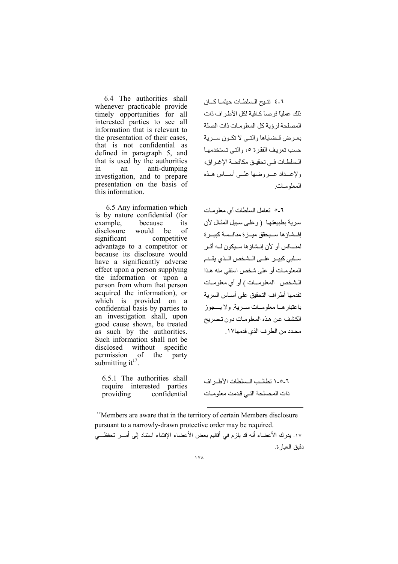6.4 The authorities shall whenever practicable provide timely opportunities for all interested parties to see all information that is relevant to the presentation of their cases. that is not confidential as defined in paragraph 5, and that is used by the authorities  $in$ an anti-dumping investigation, and to prepare presentation on the basis of this information.

6.5 Any information which is by nature confidential (for example. because its disclosure would be of significant competitive advantage to a competitor or because its disclosure would have a significantly adverse effect upon a person supplying the information or upon a person from whom that person acquired the information), or which is provided on a confidential basis by parties to an investigation shall, upon good cause shown, be treated as such by the authorities. Such information shall not be disclosed without specific permission of the party submitting  $it^{17}$ .

6.5.1 The authorities shall require interested parties confidential providing

٦-٤ نتبح السلطات حيثمـا كــان ذلك عملياً فرصاً كــافية لكل الأطـر اف ذات المصلحة لرؤبة كل المعلومات ذات الصلة بعرض قضاياها والتبي لا تكون سـرية حسب تعريف الفقر ة ٥، والتي تستخدمها الـسلطــات فــي تحقيــق مكافحــة الإغــر اق، ولإعسداد عسر وضبها عليى أسساس هيذه المعلومات

٦-٥ تعامل السلطات أي معلومات سرية بطبيعتها (وعلى سبيل المثال لأن إفسشاؤ ها ســبحقق مبــز ة منافــسة كببــر ة لمنــافس أو الأن إنــشاؤ ها سـبكون لــه أثــر سلبي كبيـر علـى الـشخص الـذي يقـدم المعلومـات أو على شخص استقى منه هذا الـشخص المعلومــات) أو أي معلومـات تقدمها أطراف التحقيق على أساس السرية باعتبار هـا معلومـات سـرية ولا يــجوز الكشف عن هذه المعلومات دون تصر بح محدد من الطرف الذي قدمها١٧.

٦-٥-١ تطالب السلطات الأطر اف ذات المصلحة التي قدمت معلومات

<sup>18</sup>Members are aware that in the territory of certain Members disclosure pursuant to a narrowly-drawn protective order may be required. ١٧. يدرك الأعضاء أنه قد يلزم في أقاليم بعض الأعضاء الإفشاء استتاد إلى أمـــر تحفظـــي

دقيق العبار ة.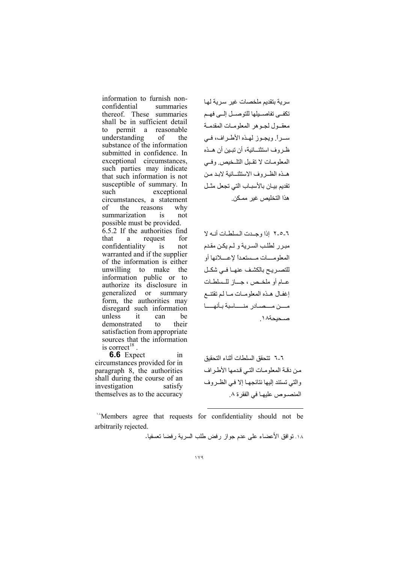information to furnish nonconfidential summaries thereof. These summaries shall be in sufficient detail permit a reasonable  $\mathsf{to}$ understanding  $\alpha$ f the substance of the information submitted in confidence. In exceptional circumstances, such parties may indicate that such information is not susceptible of summary. In such exceptional circumstances, a statement reasons of the why summarization  $\overline{not}$ is possible must be provided.  $6.5.2$  If the authorities find that request a  $for$ confidentiality  $is$ not warranted and if the supplier of the information is either unwilling to make the information public or to authorize its disclosure in generalized or summary form, the authorities may disregard such information unless it can he demonstrated their  $\mathbf{t}$ satisfaction from appropriate sources that the information is correct<sup>18</sup>.

6.6 Expect in circumstances provided for in paragraph 8, the authorities shall during the course of an investigation satisfy themselves as to the accuracy سرية بتقديم ملخصات غير سرية لها تكفي تفاصديلها للتوصدل إلمى فهم معقول لجوهر المعلومات المقدمة سراً. ويجوز لهذه الأطراف، في ظـر و ف استثنـــائية، أن تبـين أن هــذه المعلومات لا تقبل التلخيص وفي هبذه الظبر وف الاستثنيائية لايد من تقديم بيـان بالأسبـاب التي تجعل مثـل هذا التخليص غير ممكن

٦-٥-٢ اذا وحدت السلطات أنبه لا مبرر لطلب السرية ولم يكن مقدم المعلومسات مسستعدأ لإعسلانها أو للتصير يح بالكشف عنهيا في شكل عبام أو ملخيص ، جباز للسلطات إغفـال هـذه المعلومــات مــا لـم تقتنــع مسن مسصيلار منساسية بأنهسيا صحيحة١٨.

٦-٦ تتحقق السلطات أثناء التحقبق من دقـة المعلومـات التـى قدمها الأطـر اف والتي تستند إليها نتائجها إلا في الظروف المنصوص عليها في الفقرة ٨.

"Members agree that requests for confidentiality should not be arbitrarily rejected.

١٨. تو افق الأعضاء على عدم جواز رفض طلب السرية رفضا تعسفيا.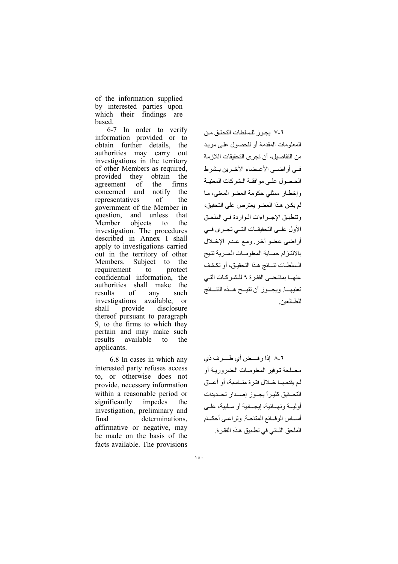of the information supplied by interested parties upon which their findings are based.

6-7 In order to verify information provided or to obtain further details, the authorities may carry out investigations in the territory of other Members as required, they obtain the provided agreement of the firms concerned and notify the of representatives the government of the Member in and unless question, that Member objects to the investigation. The procedures described in Annex I shall apply to investigations carried out in the territory of other Members. Subject to the requirement to protect confidential information, the authorities shall make the results  $\alpha$ f any such investigations available, or shall provide disclosure thereof pursuant to paragraph 9, to the firms to which they pertain and may make such available results to the applicants.

6.8 In cases in which any interested party refuses access to, or otherwise does not provide, necessary information within a reasonable period or significantly impedes the investigation, preliminary and final determinations. affirmative or negative, may be made on the basis of the facts available. The provisions

٦-٧ بجوز للسلطات التحقق من المعلومات المقدمة أو للحصول على مزبد من التفاصيل، أن تجر ي التحقيقات اللاز مة في أراضي الأعضاء الآخرين بشرط الحصول على موافقة الشركات المعنبـة وإخطـار ممثلي حكومة العضو المعنى، مـا لم بكن هذا العضو بعترض على التحقيق، وتنطبق الإجراءات الواردة في الملحق الأول على التحقيقات التسي تجرى في أراضي عضو أخر ومع عدم الإخلال بالالتزام حماية المعلومات السرية تتيح السلطـات نتــائج هـذا التحقيـق، أو تكـشف عنهــا بمقتـضـى الفقـرة ٩ للـشـركـات التـى تعنيهسا ويجسوز أن تتيسح هسذه النتسائج للطالعين

٦-٨ إذا رفسض أي طسرف ذي مصلحة توفير المعلوميات المضروربية أو لم يقدمهـا خـلال فترة منــاسبة، أو أعــاق التحسقيق كثيراً يجبوز إصبدار تحبديدات أوليسة ونهسائية، إيجسابية أو سلبية، على أسساس الوقسائع المتلحية وتراعبي أحكسام الملحق الثَّاني في تطبيق هذه الفقر ة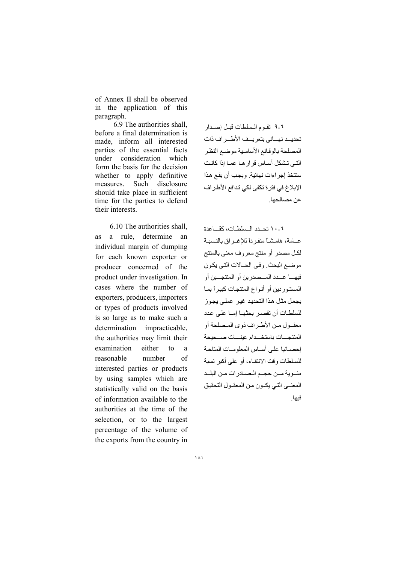of Annex II shall be observed in the application of this paragraph.

6.9 The authorities shall, before a final determination is made, inform all interested parties of the essential facts under consideration which form the basis for the decision whether to apply definitive Such disclosure measures. should take place in sufficient time for the parties to defend their interests.

6.10 The authorities shall a rule, determine as an individual margin of dumping for each known exporter or producer concerned of the product under investigation. In cases where the number of exporters, producers, importers or types of products involved is so large as to make such a determination impracticable. the authorities may limit their examination either  $\overline{10}$ a reasonable number  $\alpha$ f interested parties or products by using samples which are statistically valid on the basis of information available to the authorities at the time of the selection, or to the largest percentage of the volume of the exports from the country in

٦-٩ تقوم السلطات قبل إصدار تحديه نهسائي بتعريسف الأطسراف ذات المصلحة بالوقائع الأساسية موضع النظر التي تشكل أساس قرار ها عمـا إذا كانت ستتخذ إجراءات نهائية. ويجب أن يقع هذا الإبلاغ في فترة تكفي لكي تدافع الأطراف عن مصالحها

٦-١٠ تحيدد المسلطات، كقساعدة عبامة، هامشياً منفر داً للإغير إق بالنسبية لكل مصدر أو منتج معروف معنى بالمنتج موضع البحث وفي الحبالات التي يكون فيهـــا عـــدد المـــصدر بن أو المنتجـــبن أو المستور دين أو أنواع المنتجات كبير أ بمـا يجعل مثل هذا التحديد غير عملي يجوز للسلطـات أن تقصـر بحثهـا إمــا علـى عدد معقـول مـن الأطـر اف ذو ي المـصلحة أو المنتحسات باستخسدام عينسات صبحبحة إحصبائيا على أسباس المعلوميات المتاحية للسلطات وقت الانتقاء، أو على أكبر نسبة مئوية مــن حجــم الـصــادر ات مـن البلــد المعنبي التي يكبون من المعقبول التحقيق فيها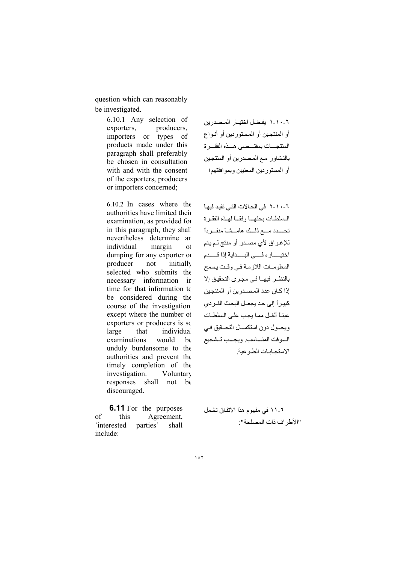question which can reasonably be investigated.

> 6.10.1 Any selection of exporters, producers, importers or types of products made under this paragraph shall preferably be chosen in consultation with and with the consent of the exporters, producers or importers concerned;

6.10.2 In cases where the authorities have limited their examination, as provided for in this paragraph, they shall nevertheless determine an individual margin  $\Omega$ dumping for any exporter of producer not initially selected who submits the necessary information in time for that information to be considered during the course of the investigation. except where the number of exporters or producers is so large that individual examinations would  $he$ unduly burdensome to the authorities and prevent the timely completion of the investigation. Voluntary responses shall not  $be$ discouraged.

**6.11** For the purposes of Agreement, this 'interested shall parties' include:

٦-١٠-١ يفضل اختيـار المـصدر بن أو المنتجين أو المستوردين أو أنـواع المنتجسات بمقتسضي هسذه الفقسرة بالتشاور مع المصدرين أو المنتجين أو المستوردين المعنيين وبموافقتهم؛

٦-١٠-٢ في الحالات التي تقيد فيها المسلطات بحثهما وفقسا لهذه الفقرة تحسدد مسع ذلك هامسشا منفير دأ للإغراق لأى مصدر أو منتج لم يتم اختيسار ه فسي البسداية إذا قسدم المعلومـات اللازمـة فـي وقـت يسمح بالنظـر فيهــا فـي مجـر ي التحقيـق إلا اذا كـان عدد المصـدر بن أو المنتحين كبير أ إلى حد يجعـل البحث الفـر دي عبئـًا أثقـل ممـا يجب علـى السلطـات ويحــول دون استكمــال التحــقيق فـــ، السوقت المنساسب ويجسب تتشجيع الاستجابات الطوعبة

٦- ١١ في مفهوم هذا الاتفاق تشمل "الأطر اف ذات المصلحة"·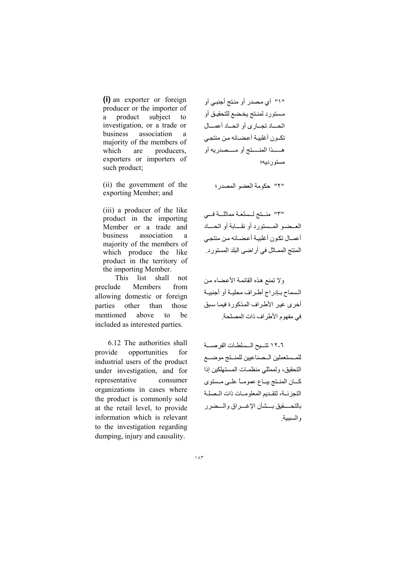(i) an exporter or foreign producer or the importer of product subject a  $\mathbf{f}$ investigation, or a trade or association business a majority of the members of which are producers. exporters or importers of such product;

(ii) the government of the exporting Member; and

(iii) a producer of the like product in the importing Member or a trade and business association a majority of the members of which produce the like product in the territory of the importing Member.

This list shall not Members preclude from allowing domestic or foreign parties other than those be mentioned above  $\mathbf{t}$ included as interested parties.

6.12 The authorities shall provide opportunities for industrial users of the product under investigation, and for representative consumer organizations in cases where the product is commonly sold at the retail level, to provide information which is relevant to the investigation regarding dumping, injury and causality.

"١" أي مصدر أو منتج أجنبي أو مستورد لمنتج يخضع للتحقيق أو اتحساد تجماري أو اتحماد أعمسال تكون أغلبية أعضائه من منتجى هســذا المنـــتج أو مـــصدريه أو مستور ديه؛

"٢" حكومة العضو المصدر ؛

"٣" منستج لسلعة مماثلة في العسضيو المسستورد أو نقسابة أو اتحساد أعمــال نكـون أغلبيــة أعـضــائـه مـن منتجـي المنتج الممـاثل في أر اضـي البلد المستو ر د.

ولا تمنع هذه القائمة الأعضاء من السماح ببادراج أطراف محلية أو أجنبية أخرى غبر الأطراف المذكورة فبما سبق في مفهوم الأطراف ذات المصلحة.

٦-١٢ تتسيح السلطات الفرصسة للمستعملين السصناعيين للمنستج موضسع التحقيق، ولممثلي منظمات المستهلكين إذا كسان المنتج يبساع عمومياً علمي مستوى التجزئة، لتقديم المعلومات ذات المصلة بالتحسقيق بسشأن الإغسراق والسضرر والسببية.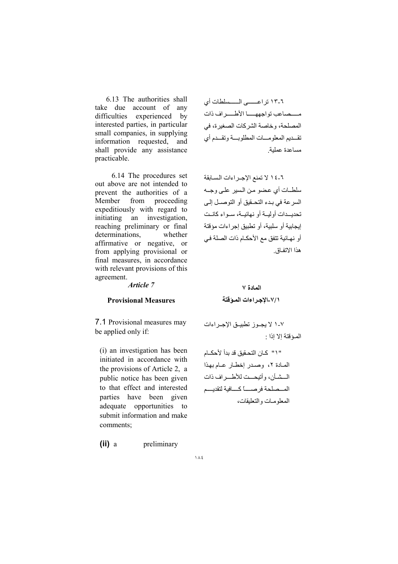6.13 The authorities shall take due account of any difficulties experienced by interested parties, in particular small companies, in supplying information requested, and shall provide any assistance practicable.

6.14 The procedures set out above are not intended to prevent the authorities of a Member from proceeding expeditiously with regard to initiating an investigation. reaching preliminary or final determinations. whether affirmative or negative, or from applying provisional or final measures, in accordance with relevant provisions of this agreement.

Article 7

#### **Provisional Measures**

7.1 Provisional measures may be applied only if:

(i) an investigation has been initiated in accordance with the provisions of Article 2, a public notice has been given to that effect and interested parties have been given adequate opportunities to submit information and make comments:

 $(ii) a$ preliminary ٦-١٣ تراعـــــى الــــسلطات أي مسصاعب تواجههسا الأطسراف ذات المصلحة، وخاصة الشركات الصغيرة، في تقسديم المعلومسات المطلوبسة وتقسدم أي مساعدة عملية

٦-١٤ لا تمنع الإجـراءات السـابقة سلطــات أي عضو من السير علـي وجــه السرعة في بدء التحـقيق أو التوصـل إلـي تحديسدات أوليسة أو نهائيسة، سمواء كانست إيجابية أو سلبية، أو تطبيق إجراءات مؤقتة أو نهـائية تتفق مع الأحكـام ذات الصلة فـي هذا الاتفاق

## المادة ٧ ٧/١-الإجراءات الموفقة

٧-١ لا يجـوز تطبيــق الإجـر اءات المؤقتة الا اذا ·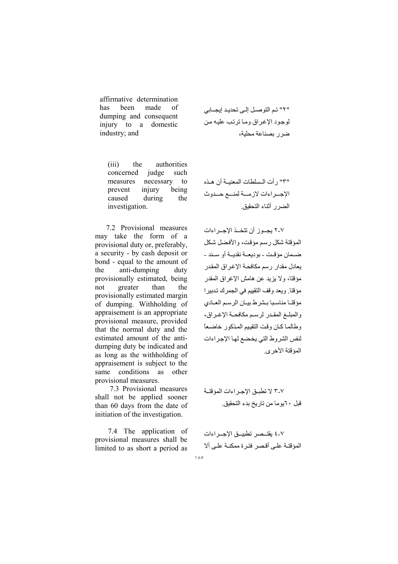affirmative determination heen has made  $\alpha$ f dumping and consequent injury to a domestic industry; and

authorities  $(iii)$ the concerned judge such measures necessary to prevent injury being caused during the investigation.

7.2 Provisional measures may take the form of a provisional duty or, preferably, a security - by cash deposit or bond - equal to the amount of anti-dumping the duty provisionally estimated, being greater than the not provisionally estimated margin of dumping. Withholding of appraisement is an appropriate provisional measure, provided that the normal duty and the estimated amount of the antidumping duty be indicated and as long as the withholding of appraisement is subject to the conditions as other same provisional measures.

7.3 Provisional measures shall not be applied sooner than 60 days from the date of initiation of the investigation.

7.4 The application of provisional measures shall be limited to as short a period as "٢" تم التوصل إلى تحديد إيجابي لوجود الإغراق وما ترتب عليه من ضرر بصناعة محلبة،

"٣" رأت السلطات المعنية أن هـذه الإجبر اءات لاز مسة لمنسع حسدوث الضرر أثناء التحقيق

٢-٢ يجـوز أن تتخـذ الإجـراءات المؤقتة شكل رسم مؤقت، والأفضل شكل ضــمان مؤقـت - بو ديعــة نقديــة أو ســند -يعادل مقدار ر سم مكافحــة الإغـر اق المقدر مؤقتًا، و لا بزيد عن هامش الإغر اق المقدر مؤقتا. ويعد وقف التقييم في الجمر ك تدبير ا مؤقتـا مناسـبا بـشر ط بيـان الر سـم العـادى والمبلغ المقدر لرسم مكافحة الإغراق، وطالما كان وقت التقييم المذكور خاضعاً لنفس الشروط التي يخضع لها الإجراءات المؤقتة الأخرى

٣-٣ لا تطبق الإجراءات المؤقتـة قبل ٢٠يوما من تاريخ بدء التحقيق.

٤-٢ يقتــصر تطبيــق الإجــر اءات المؤقتـة علـى أقـصر فتـرة ممكنـة علـى ألا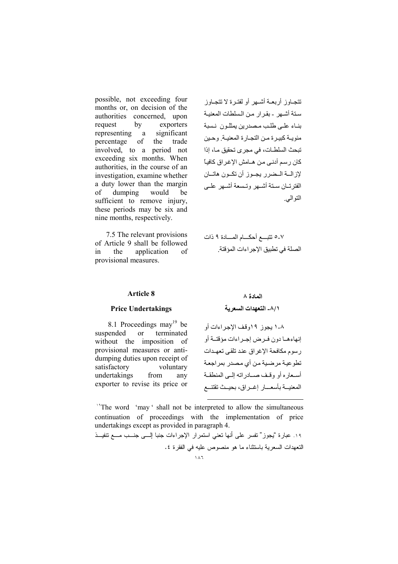possible, not exceeding four months or, on decision of the authorities concerned, upon request by exporters representing a significant percentage of the trade involved, to a period not exceeding six months. When authorities, in the course of an investigation, examine whether a duty lower than the margin dumping would of be sufficient to remove injury, these periods may be six and nine months, respectively.

7.5 The relevant provisions of Article 9 shall be followed  $in$ the application  $\sigma$ f provisional measures.

تتجباوز أربعية أشبهر أو لفتيرة لا تتجباوز ستة أشهر - بقرار من السلطات المعنية بنباء علىى طلب مصدرين يمثلون نسبة مئويــة كبيـرة مـن التجـارة المعنيــة وحـين تبحث السلطــات، في مجر ي تحقيق مــا، إذا كان ر سم أدنبي من هــامش الإغر اق كافيـاً لاز السة البيضر ريجيوز أن تكبون هاتيان الفتر تسان سبقة أشسهر وتسبعة أشسهر عليى التو البي

#### Article 8

#### **Price Undertakings**

## المادة ٨ ٨/١\_ التعهدات السعرية

8.1 Proceedings may<sup>19</sup> be suspended terminated  $\alpha$ without the imposition of provisional measures or antidumping duties upon receipt of satisfactory voluntary undertakings from any exporter to revise its price or

٨-١ يجوز ١٩وقف الإجراءات أو إنهاءهـا دون فـرض إجـراءات مؤقتــة أو ر سوم مكافحة الإغر اق عند تلقى تعهـدات تطوعية مرضية من أي مصدر بمر اجعة أسعاره أو وقف صدادراته إلىي المنطقة المعنيــة بأسعـــار إغــراق، بحيــث تقتنــع

<sup>14</sup>The word 'may' shall not be interpreted to allow the simultaneous continuation of proceedings with the implementation of price undertakings except as provided in paragraph 4.

١٩. عبارة "يجوز" نفسر على أنها نعني استمرار الإجراءات جنبا إلـــي جنـــب مـــع نتفيـــذ التعهدات السعربة باستثناء ما هو منصوص علبه في الفقرة ٤.  $\lambda \lambda$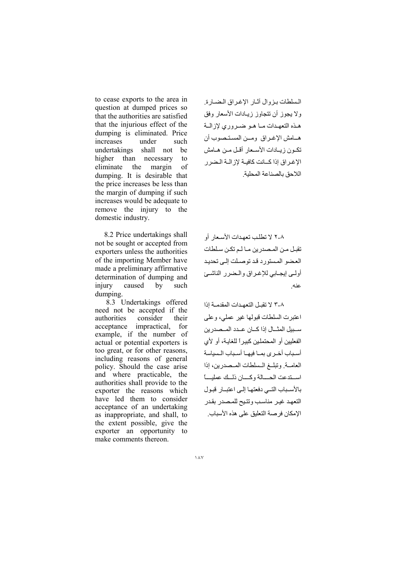to cease exports to the area in question at dumped prices so that the authorities are satisfied that the injurious effect of the dumping is eliminated. Price increases under such undertakings shall not be higher than necessary  $f_{\Omega}$ eliminate the margin  $\alpha$ f dumping. It is desirable that the price increases be less than the margin of dumping if such increases would be adequate to remove the injury to the domestic industry.

8.2 Price undertakings shall not be sought or accepted from exporters unless the authorities of the importing Member have made a preliminary affirmative determination of dumping and caused injury  $\mathbf{b}$ such dumping.

8.3 Undertakings offered need not be accepted if the authorities consider their acceptance impractical, for example, if the number of actual or potential exporters is too great, or for other reasons, including reasons of general policy. Should the case arise and where practicable, the authorities shall provide to the exporter the reasons which have led them to consider acceptance of an undertaking as inappropriate, and shall, to the extent possible, give the exporter an opportunity to make comments thereon.

السلطات بزوال آثار الإغراق الضبارة ولا يجوز أن تتجاوز زيبادات الأسعار وفق هذه التعهدات مـا هـو ضـروري لإزالــة هـامش الإغـراق ومـن المستـصوب أن تكون زيبادات الأسبعار أقبل مين هيامش الإغير اق اذا كسانت كافسة لاز السة البضر ر اللاحق بالصناعة المحلية

٨-٢ لا تطلب تعهدات الأسعار أو تقبل من المصدرين مـالـم تكـن سـلطات العضو المستورد قد توصلت إلى تحديد أولمي إيجابي للإغراق والمضرر الناشئ عنه

٣-٨ لا تقبل التعهدات المقدمــة إذا اعتبرت السلطات قبولها غير عملي، وعلى ســبيل المثـــال إذا كـــان عــدد المــصدر بن الفعلبين أو المحتملين كبير أ للغابـة، أو لأي أسباب أخرى بما فيها أسباب السياسة العامة وتبلغ السلطات المصدرين، إذا استدعت الحسالة وكسان ذللك عمليسا بالأسباب التبى دفعتها إلى اعتبار قبول التعهد غير مناسب وتتيح للمصدر بقدر الإمكان فرصة التعليق على هذه الأسباب.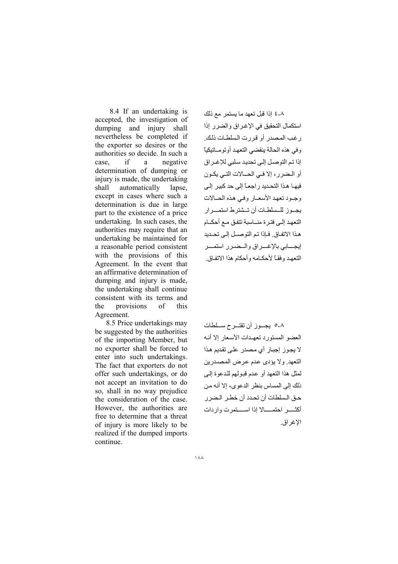8.4 If an undertaking is accepted, the investigation of dumping and injury shall nevertheless be completed if the exporter so desires or the authorities so decide. In such a case. if a negative determination of dumping or injury is made, the undertaking shall automatically lapse. except in cases where such a determination is due in large part to the existence of a price undertaking. In such cases, the authorities may require that an undertaking be maintained for a reasonable period consistent with the provisions of this Agreement. In the event that an affirmative determination of dumping and injury is made, the undertaking shall continue consistent with its terms and the provisions  $\alpha$ f this Agreement.

8.5 Price undertakings may be suggested by the authorities of the importing Member, but no exporter shall be forced to enter into such undertakings. The fact that exporters do not offer such undertakings, or do not accept an invitation to do so, shall in no way prejudice the consideration of the case. However, the authorities are free to determine that a threat of injury is more likely to be realized if the dumped imports continue.

٨-٤ إذا قبل تعهد ما يستمر مع ذلك استكمال التحقيق في الاغر اق والضر راذا ر غب المصدر أو قررت السلطات ذلك و في هذه الحالة ينقضي التعهد أو تو مــاتيكياً إذا تم التوصل إلى تحديد سلبي للإغـر اق أو البضر ر ، إلا في الحسالات التبي يكبون فيهـا هـذا التحـديد ر اجعـاً إلى حد كبير اللي وجبود تعهد الأسعيار وفي هذه الحيالات يجــوز للــسلطـات أن تــشتر طـ استمـــر ار التعهد إلى فتر ة منــاسبة تتفق مـع أحكــام هذا الاتفاق ِ فإذا تم التوصيلِ إلى تحديد ابحسابي بالإغسر اق والسضير ر استمير التعهد وفقـاً لأحكــامه وأحكام هذا الاتفـاق

٨-٥ يجــوز أن تقتــرح ســـلطات العضو المستورد تعهدات الأسعار إلا أنبه لا يجوز إجبار أي مصدر على تقديم هذا التعهد. ولا يؤدي عدم عرض المصدرين لمثل هذا التعهد أو عدم قبولهم للدعوة إلى ذلك إلى المساس بنظر الدعوى، إلا أنه من حـق الـسلطات أن تحدد أن خطـر\_ الـضر\_ر\_ أكثـــــــر احتمـــــالا إذا اســـــتمرت و ار دات الاغر اق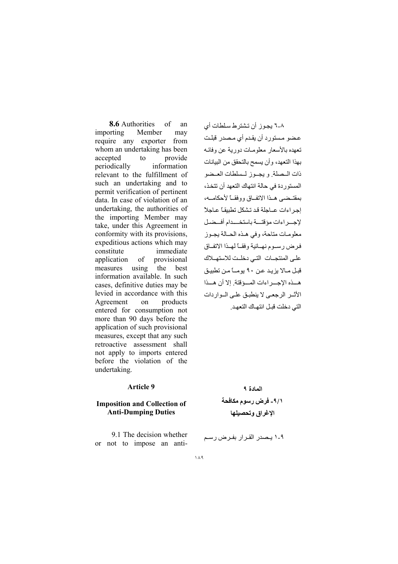of **8.6** Authorities an importing Member may require any exporter from whom an undertaking has been accepted to provide information periodically relevant to the fulfillment of such an undertaking and to permit verification of pertinent data. In case of violation of an undertaking, the authorities of the importing Member may take, under this Agreement in conformity with its provisions, expeditious actions which may constitute immediate application provisional of using the best measures information available. In such cases, definitive duties may be levied in accordance with this Agreement products  $\alpha$ entered for consumption not more than 90 days before the application of such provisional measures, except that any such retroactive assessment shall not apply to imports entered before the violation of the undertaking.

### **Article 9**

### **Imposition and Collection of Anti-Dumping Duties**

9.1 The decision whether or not to impose an anti-

٨-٦ بجوز أن تشتر ط سلطات أي عضو مستورد أن يقدم أي مصدر قبلت تعهده بالأسعار معلومات دورية عن وفائـه بهذا التعهد، و أن يسمح بالتحقق من البيانات ذات السصلة ويجبوز لمسلطات العبضو المستور دة في حالة انتهاك التعهد أن تتخذ، بمقتبضي هبذا الاتفياق ووفقيا لأحكاميه، احر اءات عباحلة قد تشكل تطبيقاً عباجلاً لإجسراءات مؤقتسة باستخسدام أفسضل معلومات متاحة، وفي هـذه الحـالة بجـوز فرض رسوم نهيائية وفقياً لهيذا الاتفاق على المنتجبات التبي دخلت للاستهيلاك قبل مـالا يزيد عن ٩٠ يومــّا مـن تطبيق هسذه الاجسر اءات المسؤقتة إلا أن هسذا الأثير الرجعي لا ينطبق على البواردات التي دخلت قبل انتهاك التعهد

> المادة ٩ ٩/١- فرض رسوم مكافحة الإغراق وتحصيلها

1-1 يصدر القرار بفرض رسم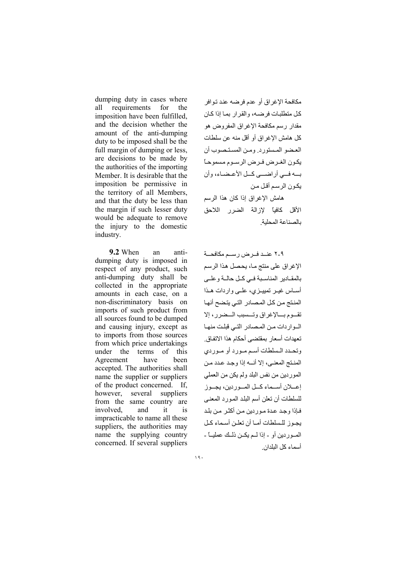dumping duty in cases where all requirements  $for$ the imposition have been fulfilled. and the decision whether the amount of the anti-dumping duty to be imposed shall be the full margin of dumping or less, are decisions to be made by the authorities of the importing Member. It is desirable that the imposition be permissive in the territory of all Members, and that the duty be less than the margin if such lesser duty would be adequate to remove the injury to the domestic industry.

9.2 When an antidumping duty is imposed in respect of any product, such anti-dumping duty shall be collected in the appropriate amounts in each case, on a non-discriminatory basis on imports of such product from all sources found to be dumped and causing injury, except as to imports from those sources from which price undertakings under the terms of this have Agreement been accepted. The authorities shall name the supplier or suppliers of the product concerned. If, however. several suppliers from the same country are involved. and it is impracticable to name all these suppliers, the authorities may name the supplying country concerned. If several suppliers

مكافحة الإغراق أو عدم فرضه عند توافر كل متطلبات فرضه، والقرار بما إذا كان مقدار رسم مكافحة الإغراق المفر وض هو كل هامش الاغر اق أو أقل منه عن سلطات العضو المستورد ومن المستصوب أن يكون الغـر ض فـر ض الر سـو م مسمو حـًّا يسه فسي أد اضسي كسل الأعيضياء، و أن يكون الرسم أقل من هامش الإغراق إذا كان هذا الرسم الأقل كافعاً لإزالة الضرر اللاحق بالصناعة المحلبة

٢-٢ عنبد فيرض رسيم مكافحية الإغراق على منتج مـا، يحصل هذا الرسم بالمقـادير المناسـبة فـى كـل حالـة وعلـى أســاس غيــر تمييــزي، علــي واردات هــذا المنتج من كل المصادر التي يتضح أنها تقسوم بسالإغراق وتسسبب السضرر ، إلا البوار دات من المصادر التبي قبلت منهيا تعهدات أسعار بمقتضبي أحكام هذا الاتفاق وتحدد المسلطات أسم مورد أو موردي المنتج المعنى، إلا أنه إذا وجد عدد من الموردين من نفس البلد ولم يكن من العملي إعسلان أسسماء كسل المسوريين، يجسوز للسلطات أن تعلن أسم البلد المورد المعنى فإذا وجد عدة موردين من أكثر من بلد يجوز للسلطات أميا أن تعلن أسماء كيل المسور دين أو - إذا لسم يكــن ذلــك عمليـــاً -أسماء كل البلدان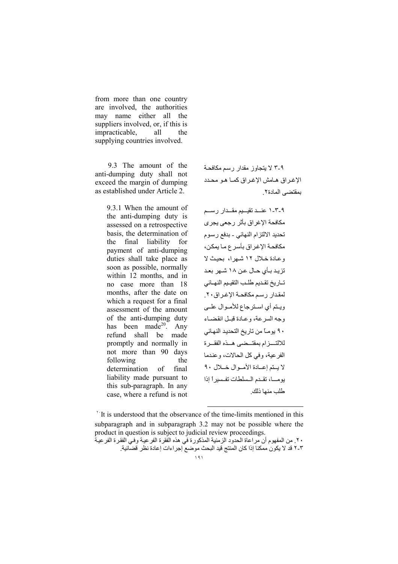from more than one country are involved, the authorities may name either all the suppliers involved, or, if this is impracticable, all the supplying countries involved.

9.3 The amount of the anti-dumping duty shall not exceed the margin of dumping as established under Article 2.

> 9.3.1 When the amount of the anti-dumping duty is assessed on a retrospective basis, the determination of the final liability for payment of anti-dumping duties shall take place as soon as possible, normally within 12 months, and in no case more than 18 months, after the date on which a request for a final assessment of the amount of the anti-dumping duty has been made<sup>20</sup>. Any refund shall be made promptly and normally in not more than 90 days following the determination of final liability made pursuant to this sub-paragraph. In any case, where a refund is not

۹-۳ لا بتجاوز مقدار رسم مكافحة الإغراق هامش الإغراق كما هو محدد بمقتضبي المادة٢.

٩-٢-١ عند تقييم مقـدار رسـم مكافحة الإغراق بأثر رجعي يجرى تحديد الالتزام النهائي - بدفع ر سوم مكافحة الإغراق بأسرع ما يمكن، وعادة خلال ١٢ شهرا، بحيث لا تزيد بـأى حـال عـن ١٨ شـهر بعـد تباريخ تقديم طلب التقييم النهبائي لمقدار رسم مكافحة الإغراق٢٠. ويتم أى استرجاع للأموال علىي وجه السرعة، وعبادة قبيل انقضياء ٩٠ يومــًا من تاريخ التحديد النهـائي للالتسزام بمقتسضى هسذه الفقسرة الفرعية، وفي كل الحالات، وعندما لا يتم إعادة الأموال خلال ٩٠ بومسا، تقدم السلطات تفسير أ إذا طلب منها ذلك

<sup>&</sup>lt;sup>\*</sup>It is understood that the observance of the time-limits mentioned in this subparagraph and in subparagraph 3.2 may not be possible where the product in question is subject to judicial review proceedings.

٢٠ ـ من المفهوم أن مراعاة الحدود الزمنية المذكور ة في هذه الفقر ة الفر عيـة وفـي الفقر ة الفر عيـةً ٢-٢ قد لا يكون ممكنا إذا كان المنتج قيد البحث موضع إجراءات إعادة نظر قضائية.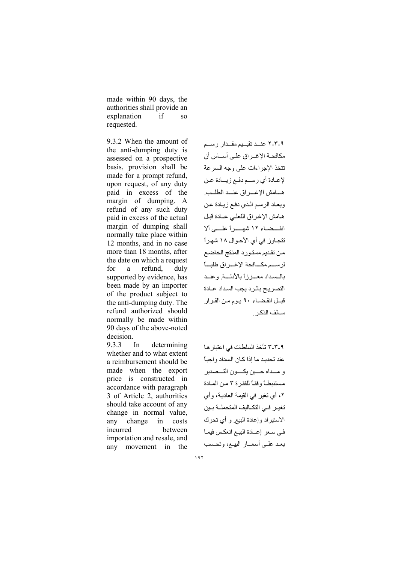made within 90 days, the authorities shall provide an explanation if  $SO<sub>SO</sub>$ requested.

9.3.2 When the amount of the anti-dumping duty is assessed on a prospective basis, provision shall be made for a prompt refund, upon request, of any duty paid in excess of the margin of dumping. A refund of any such duty paid in excess of the actual margin of dumping shall normally take place within 12 months, and in no case more than 18 months, after the date on which a request for a refund. duly supported by evidence, has been made by an importer of the product subject to the anti-dumping duty. The refund authorized should normally be made within 90 days of the above-noted decision.

9.3.3 determining In whether and to what extent a reimbursement should be made when the export price is constructed in accordance with paragraph 3 of Article 2, authorities should take account of any change in normal value, change any costs  $in$ incurred hetween importation and resale, and any movement in the ٢-٣-٢ عند تقييم مقـدار رسـم مكافحــة الإغــراق علــى أســـاس أن تتخذ الإجراءات على وجه السرعة لإعـادة أي رسـم دفـع زيــادة عـن هــامش الإغــراق عنــد الطلـب. ويعاد الرسم الذي دفع زيادة عن هامش الإغراق الفعلي عـادة قبل انقسضاء ١٢ شهسراً علسى ألا تتجاوز في أي الأحوال ١٨ شهراً من تقديم مستورد المنتج الخاضع لرسم مكافحة الإغراق طلبأ بالسداد معـززأ بالأدلـة وعنـد التصريح بالرد يجب السداد عبادة قبـل انقضـاء ٩٠ يـوم مـن القرار سـالف الذكـر

٩-٣-٣ تأخذ السلطات في اعتبار هـا عند تحديد ما إذا كان السداد واجباً و مـــداه حـــين يكــــون التـــصدير مستنبطاً وفقاً للفقرة ٣ من المادة ٢، أي تغير في القيمة العادية، وأي تغيـر فـي التكــاليف المتحملــة بــين الاستيراد وإعادة البيع وأي تحرك في سعر إعـادة البيـع انعكس فيمـا بعد علمي أسعمار البيم، وتحسب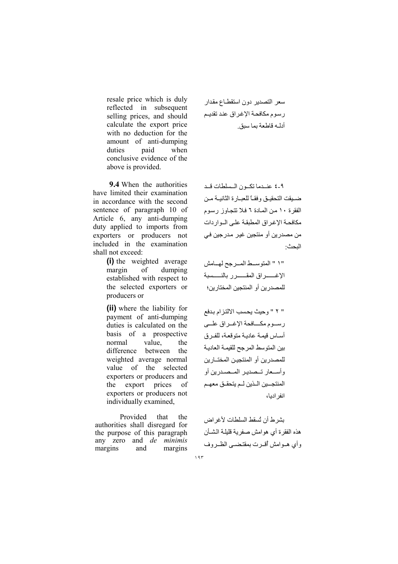resale price which is duly reflected in subsequent selling prices, and should calculate the export price with no deduction for the amount of anti-dumping duties paid when conclusive evidence of the above is provided.

9.4 When the authorities have limited their examination in accordance with the second sentence of paragraph 10 of Article 6, any anti-dumping duty applied to imports from exporters or producers not included in the examination shall not exceed:

> (i) the weighted average margin of dumping established with respect to the selected exporters or producers or

> (ii) where the liability for payment of anti-dumping duties is calculated on the basis of a prospective normal value the difference between the weighted average normal value of the selected exporters or producers and export prices of the exporters or producers not individually examined,

Provided that the authorities shall disregard for the purpose of this paragraph any zero and *de minimis* margins and margins

سعر التصدير دون استقطاع مقدار رسوم مكافحة الإغراق عند تقديم أدلـه قاطعة بما سبق

٩-٤ عندما تكون السلطات قد ضبيقت التحقيق وفقـاً للعبـارة الثانيــة مـن الفقرة ١٠ من المادة ٦ فلا تتجاوز رسوم مكافحة الإغراق المطبقة على الواردات من مصدر بن أو منتجين غير ٍ مدر جين في الددث·

" ٢ " وحيث يحسب الالتزام بدفع رسوم مكسافحة الإغراق علمى أساس قيمة عادية متوقعة، للفرق بين المتوسط المرجح للقيمة العادية للمصدرين أو المنتجين المختــارين وأسـعار تـصدير المـصدرين أو المنتجــين الــذين لــم يتحقــق معهــم انفر ادبا،

بشر ط أن تُسقط السلطات لأغر اض هذه الفقرة أي هو امش صفرية قليلـة الشــأن وأى هـوامش أقـرت بمقتضـى الظـروف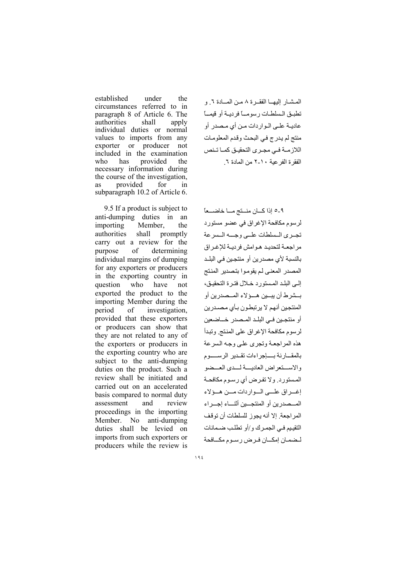established under the circumstances referred to in paragraph 8 of Article 6. The authorities shall apply individual duties or normal values to imports from any producer exporter or not included in the examination who has provided the necessary information during the course of the investigation, provided for **as** in subparagraph 10.2 of Article 6.

9.5 If a product is subject to anti-dumping duties in an importing Member. the authorities shall promptly carry out a review for the purpose of determining individual margins of dumping for any exporters or producers in the exporting country in question who have not exported the product to the importing Member during the period of investigation. provided that these exporters or producers can show that they are not related to any of the exporters or producers in the exporting country who are subject to the anti-dumping duties on the product. Such a review shall be initiated and carried out on an accelerated basis compared to normal duty assessment and review proceedings in the importing Member. No anti-dumping duties shall be levied on imports from such exporters or producers while the review is

المشار إليهما الفقرة ٨ من المسادة ٦. و تطبق السلطات رسوميا فرديبة أو قيميا عاديــة علــي الــوار دات مــن أي مـصدر أو منتج لم يدرج في البحث وقدم المعلومات اللاز مـــة فـــى مجــر ى التحقيــق كمــا تــنص الفقرة الفر عية ١٠-٢ من المادة ٦

٩-٥ إذا كــان منــتج مــا خاضـــعاً لرسوم مكافحة الإغراق في عضو مستورد تجرى المسلطات علمى وجسه المسرعة مراجعة لتحديد هوامش فرديبة للإغراق بالنسبة لأي مصدرين أو منتجين في البلـد المصدر المعنى لم يقوموا بتصدير المنتج إلى البلد المستورد خلال فترة التحقيق، بسشر ط أن يبسين هسؤلاء المسصدرين أو المنتجين أنهم لا يرتبطون بـأى مصـدرين أو منتجين في البلـد المـصدر خـــاضعين لرسوم مكافحة الإغراق على المنتج وتبدأ هذه المر اجعية وتجرى على وجبه السرعة بالمقارنة بسإجراءات تقدير الرسسوم والاستقعراض العاديسة لسدى العسضو المستورد. ولا تفرض أي رسوم مكافحة إغـراق علــي الـواردات مــن هـؤلاء المسصدرين أو المنتجسين أتتساء إجسر اء المر اجعة. إلا أنه يجوز للسلطات أن توقف التقييم فيي الجمرك و/أو تطلب ضمانات لمضمان إمكسان فرض رسوم مكسافحة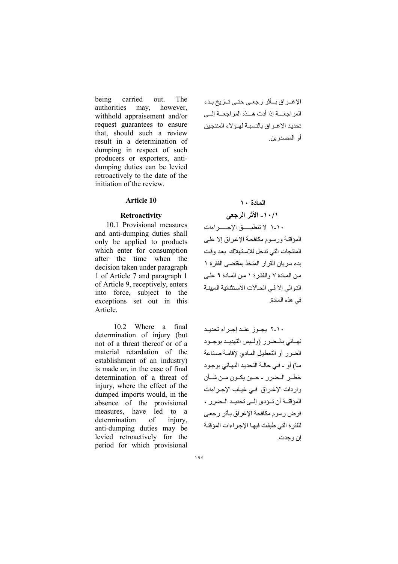being carried out. The authorities may, however, withhold appraisement and/or request guarantees to ensure that, should such a review result in a determination of dumping in respect of such producers or exporters, antidumping duties can be levied retroactively to the date of the initiation of the review.

## Article 10

#### **Retroactivity**

 10.1 Provisional measures and anti-dumping duties shall only be applied to products which enter for consumption after the time when the decision taken under paragraph 1 of Article 7 and paragraph 1 of Article 9, receptively, enters into force, subject to the exceptions set out in this Article.

 10.2 Where a final determination of injury (but not of a threat thereof or of a material retardation of the establishment of an industry) is made or, in the case of final determination of a threat of injury, where the effect of the dumped imports would, in the absence of the provisional measures, have led to a determination of injury, anti-dumping duties may be levied retroactively for the period for which provisional الإغـراق بـأثر رجعـى حتـى تـاريخ بـدء المر اجعــــة إذا أدت هـــذه المر اجعـــة إلـــي تحديد الاغـر اق بالنسبـة لهـوْ لاء المنتجبن أو المصدر بن

## ادة ١٠

## ١٠/١ - الأثر الرجعي

١٠-١ لا تنطبســـق الإجـــــــر اءات المؤقتة ورسوم مكافحة الإغراق إلا على المنتجات التي تدخل للاستهلاك بعد وقت بدء سريان القرار المتخذ بمقتضى الفقرة ١ من المعادة ٧ والفقرة ١ من المعادة ٩ علمي التوالي إلا في الحالات الاستثنائية المبينـة في هذه المادة.

١٠-٢ یجوز عند إجراء تحدید نهـائي بالـضرر (ولـيس التهديـد بوجـود الضرر أو التعطيل المادي لإقامة صناعة ما) أو - في حالية التحديد النهائي بوجود خطـر الـضرر - حـين يكـون مـن شـأن واردات الإغراق في غياب الإجراءات المؤقتـة أن تـؤدى إلـى تحديـد الـضرر ، فرض رسوم مكافحة الإغراق بأثر رجعي للفتر ة التي طبقت فيها الإجر اءات المؤقتة إن و جدت .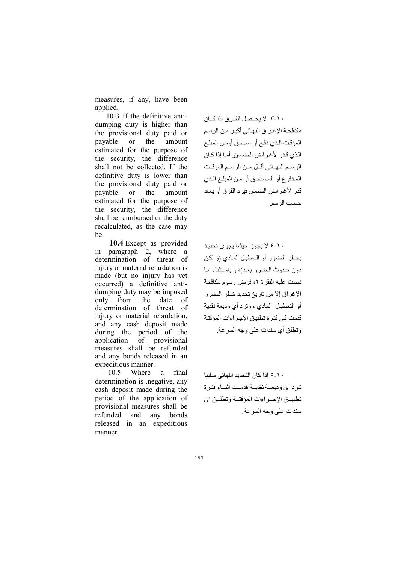measures, if any, have been applied.

10-3 If the definitive antidumping duty is higher than the provisional duty paid or payable **or** the amount estimated for the purpose of the security, the difference shall not be collected. If the definitive duty is lower than the provisional duty paid or payable  $\alpha$ the amount estimated for the purpose of the security, the difference shall be reimbursed or the duty recalculated, as the case may be

10.4 Except as provided in paragraph 2, where a determination of threat of injury or material retardation is made (but no injury has yet occurred) a definitive antidumping duty may be imposed only from the date of determination of threat of injury or material retardation. and any cash deposit made during the period of the application of provisional measures shall be refunded and any bonds released in an expeditious manner.

10.5 Where a final determination is negative, any cash deposit made during the period of the application of provisional measures shall be refunded and any bonds released in an expeditious manner.

١٠-٣ لا بحيصل الفير ق إذا كيان مكافحـة الإغـراق النهـائي أكبـر مـن الرسـم المؤقت الذي دفع أو استحق أومن المبلغ الذي قدر لأغراض الضمان. أما إذا كان الرسيم النهيائي أقبل مين الرسيم المؤقت المدفوع أو المستحق أو من المبلغ الذي قدر لأغراض الضمان فيرد الفرق أو يعاد حساب الر سم

١٠-٤ لا بجوز حبثما بجرى تحديد بخطر الضرر أو التعطيل المادي (و لكن دون حدوث الضرر بعد)، و باستثناء ما نصت عليه الفقرة ٢، فرض رسوم مكافحة الإغراق إلا من تاريخ تحديد خطر الضرر أو التعطيل الملدى ، وترد أي ودبعة نقدبة قدمت في فتر ة تطبيق الإجر اءات المؤقتة وتطلق أي سندات على وجه السرعة.

١٠-٥ إذا كان التحديد النهائي سلبيا تبرد أي وديعية نقديسة قدميت أثنياء فتبرة تطبيق الإجراءات المؤقتة وتطلق أي سندات علي و جه السر عة ِ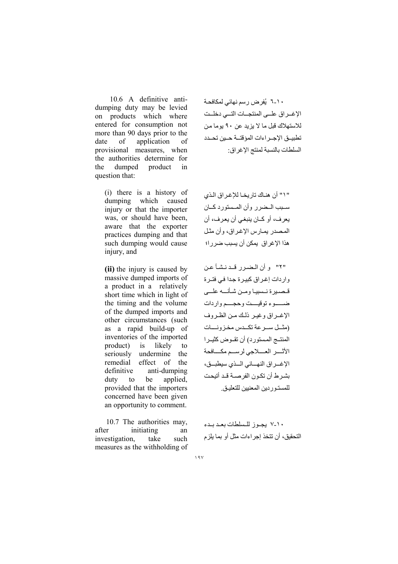10.6 A definitive antidumping duty may be levied on products which where entered for consumption not more than 90 days prior to the date of application of provisional measures, when the authorities determine for the dumped product in question that:

(i) there is a history of dumping which caused injury or that the importer was, or should have been. aware that the exporter practices dumping and that such dumping would cause injury, and

(ii) the injury is caused by massive dumped imports of a product in a relatively short time which in light of the timing and the volume of the dumped imports and other circumstances (such as a rapid build-up of inventories of the imported product)  $is$ likely to seriously undermine the remedial effect of the definitive anti-dumping applied. duty  $\mathsf{to}$ be provided that the importers concerned have been given an opportunity to comment.

10.7 The authorities may, after initiating an investigation. take such measures as the withholding of

۱۰-۲ یُفرض رسم نهائی لمکافحـة الإغــراق علـــى المنتجــات التـــى دخلــت للاستهلاك قبل ما لا بزيد عن ٩٠ بوما من السلطات بالنسبة لمنتج الإغر اق:

" ١" أن هنـاك تار يخــا للإغـر اق الـذي سبب المضرر وأن المستورد كبان يعرف، أو كــان ينبغي أن يعرف، أن المصدر بمبارس الإغراق، وأن مثل هذا الإغراق يمكن أن يسبب ضرر ا؛

"٢" وأن الضرر قدنشأ عن واردات إغراق كبيرة جدا في فترة قيصيرد قسسيبا ومين شبأنسه علي ضيوء توقيست وحجسم واردات الإغـراق وغيـر ذلك مـن الظـروف (مثل سرعة تكدس مخزونسات المنتــج المستورد) أن تقـوض كثيـرا الأثسر العسلاجي لرسسم مكسافحة الإغــراق النهــائي الــذي سيطبــق، بشرط أن تكون الفرصية قد أتيحت للمستـور دبن المعنبين للتعليـق

١٠-٧ يجوز للسلطات بعد بدء التحقيق، أن تتخذ إجر اءات مثل أو بما يلز م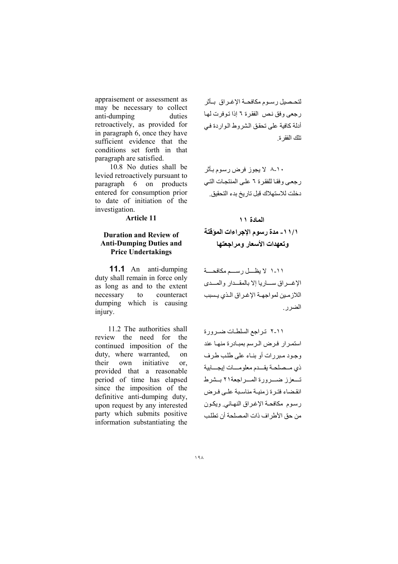appraisement or assessment as may be necessary to collect anti-dumping duties retroactively, as provided for in paragraph 6, once they have sufficient evidence that the conditions set forth in that paragraph are satisfied.

10.8 No duties shall be levied retroactively pursuant to paragraph 6 on products entered for consumption prior to date of initiation of the investigation.

**Article 11** 

## **Duration and Review of Anti-Dumping Duties and Price Undertakings**

**11.1** An anti-dumping duty shall remain in force only as long as and to the extent necessary counteract to dumping which is causing injury.

11.2 The authorities shall review the need for the continued imposition of the duty, where warranted,  $\alpha$ their own initiative or. provided that a reasonable period of time has elapsed since the imposition of the definitive anti-dumping duty, upon request by any interested party which submits positive information substantiating the

لتحصيل رسوم مكافحة الإغراق بأثر رجعي وفق نص الفقرة ٦ إذا توفرت لها أدلة كافية على تحقق الشروط الواردة في تلك الفقر ة

۸-۱۰ لا يجوز فرض رسوم بأثر ر جعبي وفقا للفقر ة ٦ علي المنتجات التبي دخلت للاستهلاك قبل تاريخ بدء التحقيق.

المعادة ١١

# ١ / ١ - مدة رسوم الإجر اءات المؤقتة وتعهدات الأسعار ومراجعتها

١١-١ لا يظـــل رســـم مكافحــــة الإغراق ساريا إلا بالمقدار والمدى اللازمين لمواجهة الإغراق الذي يسبب الضرر ِ

٢-١١ تراجع السلطات ضرورة استمر ار فرض الرسم بمبادر ة منها عند وجود مير رات أو بنياء على طلب طرف ذى مسصلحة يقسدم معلومسات إيجسابية تسعزز ضسرورة المسراجعة٢١ بسشرط انقضاء فترة زمنية مناسبة على فرض رسوم مكافحة الإغراق النهائي ويكون من حق الأطر اف ذات المصلحة أن تطلب

 $19<sub>A</sub>$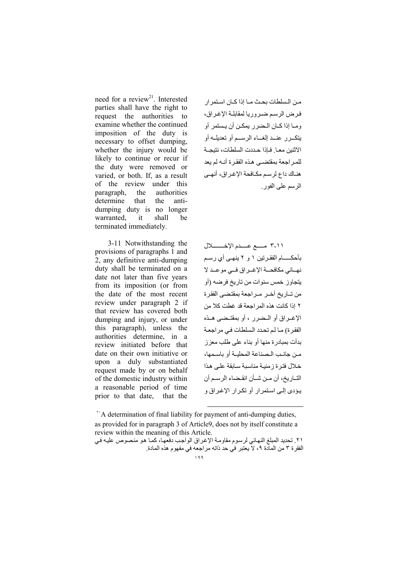need for a review<sup>21</sup>. Interested parties shall have the right to request the authorities to examine whether the continued imposition of the duty is necessary to offset dumping, whether the injury would be likely to continue or recur if the duty were removed or varied, or both. If, as a result of the review under this paragraph, the authorities determine that the antidumping duty is no longer warranted, it shall be terminated immediately.

 3-11 Notwithstanding the provisions of paragraphs 1 and 2, any definitive anti-dumping duty shall be terminated on a date not later than five years from its imposition (or from the date of the most recent review under paragraph 2 if that review has covered both dumping and injury, or under this paragraph), unless the authorities determine, in a review initiated before that date on their own initiative or upon a duly substantiated request made by or on behalf of the domestic industry within a reasonable period of time prior to that date, that the

من الـسلطات بحث مـا إذا كـان اسـتمر ار فرض الرسم ضروريا لمقابلة الإغراق، وما إذا كـان الـضر ر یمكـن أن یـستمر أو ی^3''ـ%ر L8''ـQ إ:t''ـ2ء ا%:F''ـ[ أو -QSیK''p أو الاثنين معـا. فـاذا حـددت السلطات، نتيجــة للمر احعة بمقتضبي هذه الفقر ة أنــه لم بعد هنـاك داع لر سـم مكـافحة الإغـراق، أنهـي الرسم على الفور

٢-١١ مسع عسدم الإخـــــــلال بأحكـــــام الفقـرتين ١ و ٢ ينهــى أي رسـم نهسائي مكافحـــة الإغــراق فـــي موعــد لا یتجاوز خمس سنوات من تاریخ فرضه (أو من تــاريخ آخــر مــر اجعة بمقتضـى الفقر ة ٢ إذا كانت هذه المر اجعة قد غطت كلا من الإغـراق أو الـضرر ، أو بمقتـضى هـذه الفقرة) ما لم تحدد السلطات في مراجعة بدأت بمبادر ة منها أو بناء على طلب معز ز من جانب الصناعة المحلبــة أو باسـمها، خلال فتر ة ز منبـة مناسبة سـابقة علـى هذا التـار يخ، أن مـن شـأن انقـضاء الر سـم أن يؤدى إلى استمرار أو تكرار الإغراق و

<sup>11</sup>A determination of final liability for payment of anti-dumping duties, as provided for in paragraph 3 of Article9, does not by itself constitute a review within the meaning of this Article.

l

 $199$ ٢١. تحديد المبلغ النهائي لرسوم مقاومة الإغراق الواجب دفعها، كما هو منصوص عليه في الفقر ة ٣ من المادة ٩، لاً يعتبر في حد ذاته مراجعه في مفهوم هذه المادة .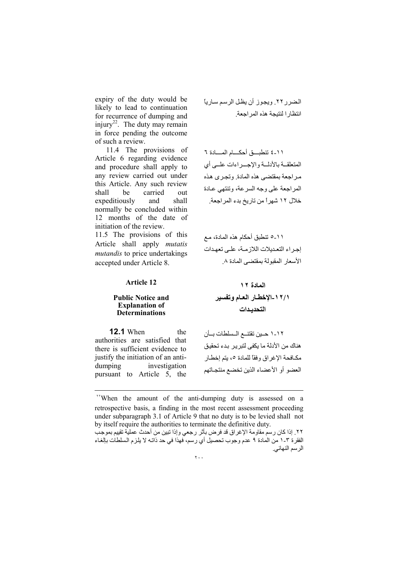expiry of the duty would be likely to lead to continuation for recurrence of dumping and injury<sup>22</sup>. The duty may remain in force pending the outcome of such a review.

11.4 The provisions of Article 6 regarding evidence and procedure shall apply to any review carried out under this Article. Any such review carried shall be out expeditiously and shall normally be concluded within 12 months of the date of initiation of the review.

11.5 The provisions of this Article shall apply *mutatis mutandis* to price undertakings accepted under Article 8.

الضرر ٢٢. ويجوز أن يظل الرسم سارياً انتظارا لنتيجة هذه المراجعة

١١-٤ تنطبيق أحكسام المسادة ٦ المتعلقــة بالأدلــة والإجـــراءات علــي أي مراجعة بمقتضى هذه المادة وتجرى هذه المراجعة على وجه السرعة، وتنتهي عـادة خلال ١٢ شهراً من تاريخ بدء المراجعة.

١١-٥ تنطبق أحكام هذه المادة، مـع إجراء التعديلات اللازمة، على تعهدات الأسعار المقبولة بمقتضى المادة ٨

**Article 12** 

#### **Public Notice and Explanation of Determinations**

١/١٢-الإخطـار العـام وتفسير التحديدات

المعادة ١٢

**12.1** When the authorities are satisfied that there is sufficient evidence to justify the initiation of an antiinvestigation dumping pursuant to Article 5, the

١-١٢ حـين تقتنــع الـسلطات بــأن هناك من الأدلة ما يكفي لتبر ير -بدء تحقيق مكـافحة الإغر اق و فقًّا للمادة ٥، يتم إخطـار العضو أو الأعضاء الذين تخضع منتجـاتهم

<sup>&</sup>quot;When the amount of the anti-dumping duty is assessed on a retrospective basis, a finding in the most recent assessment proceeding under subparagraph 3.1 of Article 9 that no duty is to be levied shall not by itself require the authorities to terminate the definitive duty.

٢٢. إذا كان رسم مقاومة الإغراق قد فرض بأثر رجعي وإذا تبين من أحدث عملية تقييم بموجب الفقرة ٣-١ من المادة ٩ عدم وجوب تحصيل أي رسم، فهذا في حد ذاتـه لا يلزم السلطات بالغـاء الرسم النهائي.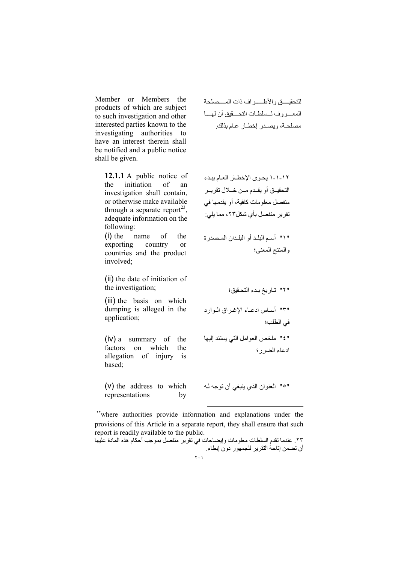Member or Members the products of which are subject to such investigation and other interested parties known to the investigating authorities to have an interest therein shall be notified and a public notice shall be given.

> 12.1.1 A public notice of the initiation  $\alpha$ f an investigation shall contain, or otherwise make available through a separate report<sup>23</sup>, adequate information on the following:

> $(i)$  the name of the exporting country  $\alpha$ countries and the product involved<sup>.</sup>

> (ii) the date of initiation of the investigation;

(iii) the basis on which dumping is alleged in the application;

 $(iv)$  a summary of the factors on which the allegation of injury is based:

(v) the address to which by representations

للتحقيس والأطسير اف ذات المستصلحة المعسروف لسلطات التحسقيق أن لهسا مصلحة، ويصدر إخطار عام بذلك.

١-١-١ يحوى الإخطـار العـام ببدء التحقيــق أو يقــدم مــن خـــلال تقريــر منفصل معلومات كافية، أو بقدمها في تقرير منفصل بأي شكل٢٣، مما يلي:

" ١" أسم البلد أو البلدان المصدرة والمنتج المعنى؛

"٢" تـاريخ بـدء التحـقيق؛ "٣" أســاس ادعــاء الإغــراق الــوارد في الطلب؛ "٤" ملخص العوامل التي يستند إليها ادعاء الضرر؛

"0" العنوان الذي ينبغي أن توجه له

"where authorities provide information and explanations under the provisions of this Article in a separate report, they shall ensure that such report is readily available to the public.

٢٣ . عندما تقدم السلطات معلومات وإيضـاحات في تقرير منفصل بموجب أحكام هذه المادة عليها أن تضمن إتاحة التقرير للجمهور دون إبطاء.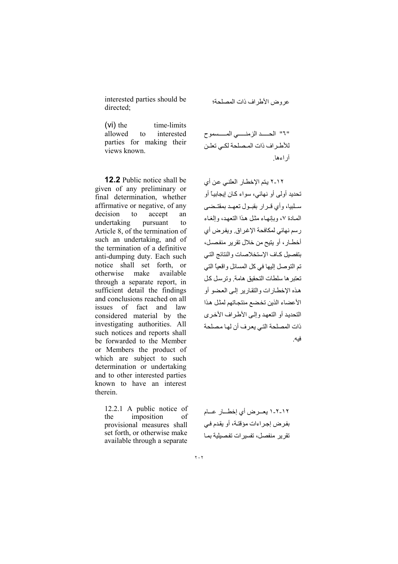interested parties should be directed:

عر وض الأطر إف ذات المصلحة؛

time-limits  $(vi)$  the allowed interested to parties for making their views known.

**12.2** Public notice shall be given of any preliminary or final determination, whether affirmative or negative, of any decision to accept an undertaking pursuant  $\mathsf{to}$ Article 8, of the termination of such an undertaking, and of the termination of a definitive anti-dumping duty. Each such notice shall set forth, or otherwise make available through a separate report, in sufficient detail the findings and conclusions reached on all issues of fact and law considered material by the investigating authorities. All such notices and reports shall be forwarded to the Member or Members the product of which are subject to such determination or undertaking and to other interested parties known to have an interest therein.

12.2.1 A public notice of the imposition of provisional measures shall set forth, or otherwise make available through a separate

٢١٢ يتم الإخطـار العلنـي عن أي تحديد أو لي أو نهائي، سو اء كـان إيجابيــًا أو سلبيا، وأي قـرار بقبـول تعهـد بمقتـضي المصادة ٧، وبإنهاء مثل هذا التعهد، وإلغاء رسم نهائي لمكافحة الإغراق. ويفرض أي أخطــار ، أو يتيح من خلال تقرير منفصـل، بتفصيل كباف الإستخلاصات والنتائج التبي تم التوصل إليها في كل المسائل واقعياً التي تعتبر ها سلطات التحقيق هامة ونرسل كل هذه الإخطــار ات و التقـار بر إلــى الـعـضـو أو الأعضاء الذين تخضع منتجاتهم لمثل هذا التحديد أو التعهد وإلى الأطر اف الأخر ي ذات المصلحة التي يعر ف أن لها مصلحة فيه

١٢-٢-١ يعـرض أي إخطــار عــام بفرض إجراءات مؤقتة، أو يقدم في تقرير منفصل، تفسير ات تفصيلية بمـا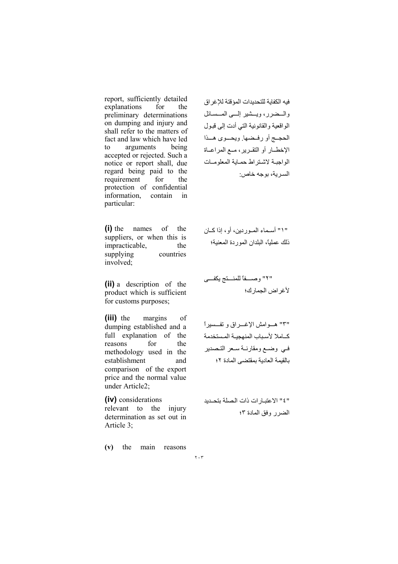report, sufficiently detailed explanations for the preliminary determinations on dumping and injury and shall refer to the matters of fact and law which have led to arguments being accepted or rejected. Such a notice or report shall, due regard being paid to the requirement for the protection of confidential information, contain in particular:

الحجـج أو رفـضها. ویحــوى هــذا الإخطــار أو التقــرير، مــع المراعــاة الو اجبـة لاشـتر اط حمـاية المعلو مــات السر ية، بوجه خاص:

فبه الكفابة للتحديدات المؤقتة للاغر اق والسضرر، ویسشیر إلسی المسسائل الواقعية والقانونية التي أدت إلى قبول

(i) the names of the suppliers, or when this is impracticable, the supplying countries involved;

(ii) a description of the product which is sufficient for customs purposes;

(iii) the margins of dumping established and a full explanation of the reasons for the methodology used in the establishment and comparison of the export price and the normal value under Article2;

(iv) considerations relevant to the injury determination as set out in Article 3;

(v) the main reasons

b'''''D3ی u^'''''89K: ً2D'''''وص" " ٢

" ١ " أسـمـاء المــوردين، أو، إذا كــان ذلك عملياً، البلدان الموردة المعنية؛

لأغر اض الجمار ك؛

٣"" هـوامش الإغــراق و تفــسيراً كباملا لأسباب المنهجية المستخدمة في وضع ومقارنية سعر التصدير بالقيمة العادية بمقتضى المادة ٢:

٤" الاعتبار ات ذات الصلة بتحديد الضرر وفق المادة ٣:

٢٠٣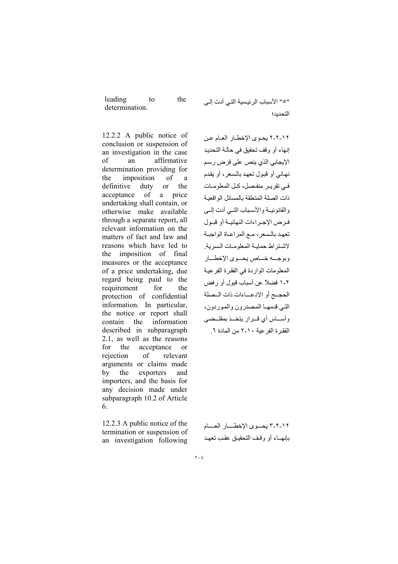| leading        | to | the |
|----------------|----|-----|
| determination. |    |     |

12.2.2 A public notice of conclusion or suspension of an investigation in the case  $\alpha$ f an affirmative determination providing for the imposition of a definitive duty  $\overline{or}$ the acceptance of price a undertaking shall contain, or otherwise make available through a separate report, all relevant information on the matters of fact and law and reasons which have led to the imposition of final measures or the acceptance of a price undertaking, due regard being paid to the requirement for the protection of confidential information. In particular, the notice or report shall contain the information described in subparagraph 2.1, as well as the reasons for the acceptance  $\alpha$ r of rejection relevant arguments or claims made by the exporters and importers, and the basis for any decision made under subparagraph 10.2 of Article 6.

12.2.3 A public notice of the termination or suspension of an investigation following "0" الأسباب الرئيسية التي أدت إلى التحدبد؛

١٢-٢-٢ يحوى الإخطـار العـام عن إنهاء أو وقف تحقيق في حالة التحديد الإيجابي الذي ينص على فرض رسم نهائي أو قبول تعهد بالسعر ، أو يقدم في تقرير منفصل، كل المعلومات ذات الصلة المتعلقة بالمسائل الو اقعية والقانونيسة والأسبياب التسى أدت السى فـرض الإجـر اءات النهائيــة أو قبــول تعهد بالسعر ، مع المر اعـاة الو اجبـة لاشتر اط حماسة المعلومات السرية وبوجسه خساص يحسوي الإخطسار المعلومات الواردة في الفقرة الفرعية ٢-١ فضلاً عن أسباب قبول أو رفض الحجسج أو الادعساءات ذات السصلة التبي قدمهــا المصدر ون و المور دون، وأسساس أى قبرار يتخبذ بمقتبضي الفقر ة الفر عدة ١٠-٢ من المادة ٦

٢-٢-٣ يحسوي الإخطسار العسام بإنهساء أو وقف التحقيق عقب تعهد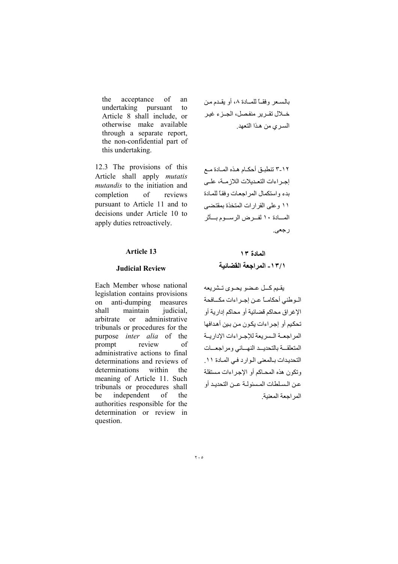the acceptance of an undertaking pursuant  $f_{\Omega}$ Article 8 shall include, or otherwise make available through a separate report, the non-confidential part of this undertaking.

12.3 The provisions of this Article shall apply *mutatis mutandis* to the initiation and completion  $\sigma$ reviews pursuant to Article 11 and to decisions under Article 10 to apply duties retroactively.

#### **Article 13**

#### **Judicial Review**

Each Member whose national legislation contains provisions anti-dumping on measures shall maintain judicial. arbitrate  $\alpha$ administrative tribunals or procedures for the purpose *inter* alia of the prompt review  $\alpha$ f administrative actions to final determinations and reviews of determinations within the meaning of Article 11. Such tribunals or procedures shall be independent  $\sigma$ the authorities responsible for the determination or review in question.

٢-١٢ تنطبق أحكـام هـذه المـادة مـع إجر اءات التعديلات اللاز مــة، علــى بدء واستكمال المراجعات وفقأ للمادة ١١ و على القر ار ات المتخذة بمقتضبي المسادة ١٠ لفير ض الرسيوم بسأنر رجعي.

# المعادة ١٣ ١٣/١ - المر اجعة القضائية

يقيم كل عضو يحوى تشريعه الوطني أحكامــأ عـن إجـراءات مكــافحة الإغراق محاكم قضائية أو محاكم إدارية أو تحكيم أو إجراءات يكون من بين أهدافها المراجعة السريعة للإجراءات الإدارية المتعلقسة بالتحدييد النهسائي ومراجعسات التحديدات بالمعنى الرارد في المادة ١١. وتكون هذه المحـاكم أو الإجراءات مستقلة عن السلطات المسئولة عـن التحديد أو المر اجعة المعنبة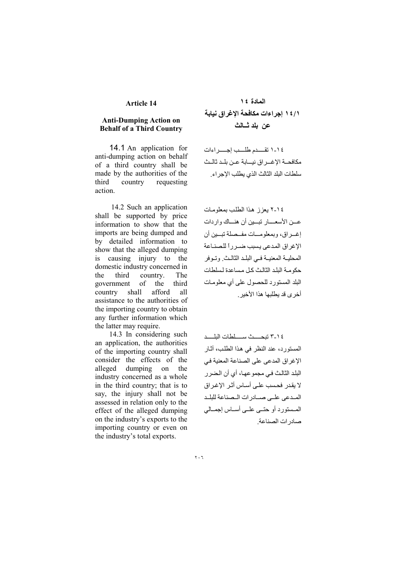#### **Article 14**

### **Anti-Dumping Action on Behalf of a Third Country**

**14.1** An application for anti-dumping action on behalf of a third country shall be made by the authorities of the third country requesting action

14.2 Such an application shall be supported by price information to show that the imports are being dumped and by detailed information to show that the alleged dumping  $is$ causing injury to the domestic industry concerned in third country. the The government  $\alpha$ f the third country shall afford  $a11$ assistance to the authorities of the importing country to obtain any further information which the latter may require.

14.3 In considering such an application, the authorities of the importing country shall consider the effects of the alleged dumping on the industry concerned as a whole in the third country; that is to say, the injury shall not be assessed in relation only to the effect of the alleged dumping on the industry's exports to the importing country or even on the industry's total exports.

# المادة ١٤ ١ / ١٤ اجر اءات مكافحة الاغر اق نيابة عن بلد شـالث

١-١ تقسدم طلب إجسر اءات مكافحــة الإغـــر اق نيــــابة عــن بلــد ثالــث سلطات البلد الثالث الذي بطلب الإجر اء

١٤-٢ يعزز هذا الطلب بمعلومات عــن الأسعــــار تبـــين أن هنـــاك واردات إغـراق، وبمعلومـات مفـصلة تبـين أن الإغراق المدعى يسبب ضبر رأ للصناعة المحليـة المعنيـة فـى البلـد الثالـث وتوفر حكومة البلد الثالث كل مساعدة لسلطات البلد المستورد للحصول على أي معلومات أخر ي قد يطلبها هذا الأخير .

٢-٢ تبحست سلطات البلسد المستورد، عند النظر في هذا الطلب، آثار الإغراق المدعى على الصناعة المعنية في البلد الثالث في مجموعهـا، أي أن الـضرر لا يقدر فحسب علے أساس أثر الإغراق المدعى على صدادرات الممناعة للبلد المستورد أو حتسى علسى أساس إجمالي صادر ات الصناعة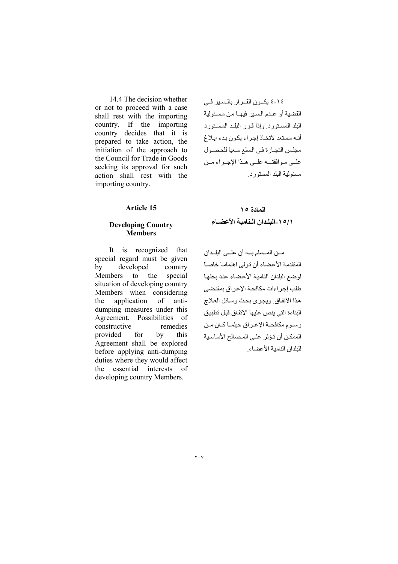14.4 The decision whether or not to proceed with a case shall rest with the importing country. If the importing country decides that it is prepared to take action, the initiation of the approach to the Council for Trade in Goods seeking its approval for such action shall rest with the importing country.

٤١٤ يكون القرار بالسير في القضية أو عدم السير فيهـا من مسئولية البلد المستورد وإذا قرر البلد المستورد أنه مستعد لاتخاذ إجراء يكون بدء إبلاغ مجلس التجارة في السلع سعياً للحصول علمي موافقتــه علــي هـذا الإجـراء مـن مسئو لية البلد المستورد

## **Article 15**

## **Developing Country Members**

It is recognized that special regard must be given by developed country  $\overline{10}$ special Members the situation of developing country Members when considering the application  $\sigma$ antidumping measures under this Agreement. Possibilities of constructive remedies provided for  $hv$ this Agreement shall be explored before applying anti-dumping duties where they would affect the essential interests of developing country Members.

المادة ١٥ ١٥/١-البلدان النامية الأعضباء

مـن المـسلم بـه أن علــى البلـدان المتقدمة الأعضاء أن تولى اهتماما خاصاً لوضع البلدان النامية الأعضاء عند بحثها طلب إجراءات مكافحة الإغراق بمقتضى هذا الاتفاق ويجرى بحث وسائل العلاج البناءة التي ينص عليها الاتفاق قبل تطبيق رسوم مكافحة الإغراق حيثمـا كـان مـن الممكن أن تؤثر على المصالح الأساسية للبلدان النامية الأعضاء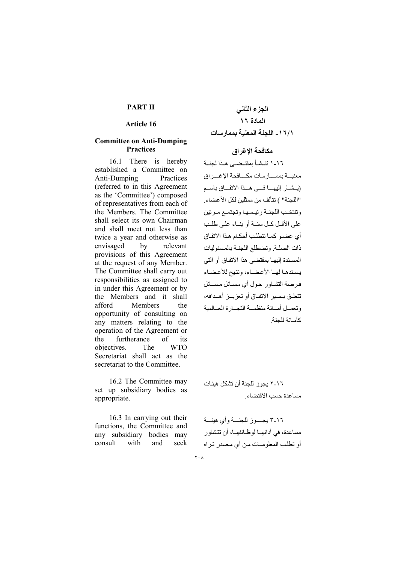## **PART II**

#### Article 16

### **Committee on Anti-Dumping Practices**

16.1 There is hereby established a Committee on Anti-Dumping Practices (referred to in this Agreement as the 'Committee') composed of representatives from each of the Members. The Committee shall select its own Chairman and shall meet not less than twice a year and otherwise as envisaged by relevant provisions of this Agreement at the request of any Member. The Committee shall carry out responsibilities as assigned to in under this Agreement or by the Members and it shall afford Members the opportunity of consulting on any matters relating to the operation of the Agreement or furtherance  $\sigma$ f the its objectives. The **WTO** Secretariat shall act as the secretariat to the Committee.

16.2 The Committee may set up subsidiary bodies as appropriate.

16.3 In carrying out their functions, the Committee and any subsidiary bodies may with consult and seek

# مكافحة الإغراق

١٦-١ تنشأ بمقتضبي هذا لجنة معنيسة بممســار سات مكــــافحة الإغــــر اق (يشار إليهــا فــى هــذا الاتفــاق باسـم "اللجنة" ) تتألف من ممثلين لكل الأعضاء. وتنتخب اللجنة رئيسها وتجتمع مرتين على الأقبل كبل سنسة أو بنساء على طلب أى عضـو كمـا تتطلب أحكـام هـذا الاتفـاق ذات الصلة وتضطلع اللجنة بالمسئوليات المسندة إليهـا بمقتضـى هذا الاتفـاق أو التي يسندها لهيا الأعضباء، وتتيح للأعضباء فرصة التشاور حول أي مسائل مسائل تتعلـق بـسـير الاتفـاق أو تعزيــز أهــدافه، وتعصل أمسانة منظمسة التجسارة العسالمية كأمانة للحنة

٢-١٦ بجوز للجنة أن تشكل هيئات مساعدة حسب الاقتضاء

٢-١٦ بجسوز للجنسة وأى هيئسة مساعدة، في أدائهــا لو ظــائفهــا، أن تتشاو ر أو تطلب المعلوميات من أي مصدر تر اه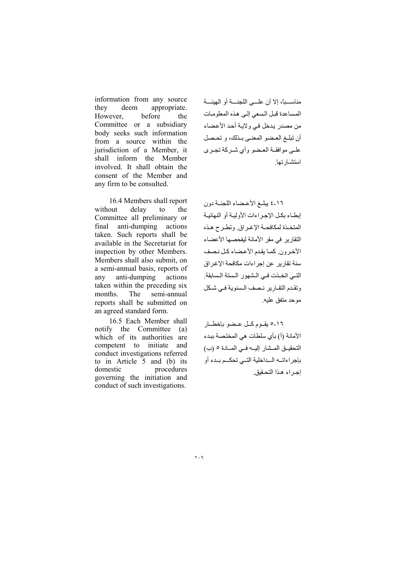information from any source they deem appropriate. However. before the Committee or a subsidiary body seeks such information from a source within the jurisdiction of a Member, it shall inform the Member involved. It shall obtain the consent of the Member and any firm to be consulted.

16.4 Members shall report without delay to the Committee all preliminary or final anti-dumping actions taken. Such reports shall be available in the Secretariat for inspection by other Members. Members shall also submit, on a semi-annual basis, reports of anti-dumping actions any taken within the preceding six months. The semi-annual reports shall be submitted on an agreed standard form.

16.5 Each Member shall notify the Committee (a) which of its authorities are competent to initiate and conduct investigations referred to in Article 5 and (b) its domestic procedures governing the initiation and conduct of such investigations.

مناســباً، إلا أن علـــى اللجنـــة أو الهيئـــة المساعدة قبل السعى إلى هذه المعلومات من مصدر يدخل في ولاية أحد الأعضاء أن تبلغ العضو المعنىي بـذلك، و تحـصل علــي موافقــة العــضو وأي شــر كـة تـجــر ي استشبار تبا

١٦-٤ يبلغ الأعضاء اللجنــة دون إبطـاء بكل الإجراءات الأوليـة أو النهائيـة المتخذة لمكافحة الإغراق وتطرح هذه التقارير في مقر الأمانة ليفحصها الأعضاء الأخرون كما يقدم الأعضاء كل نصف سنة تقارير عن إجراءات مكافحة الإغراق التبي اتخذت فبي الشهور الستة السابقة. وتقدم التقارير نصف السنوية في شكل موحد متفق عليه

١٦-٥ يقـوم كــل عـضو بإخطــار الأمانة (أ) بأي سلطات هي المختصة ببدء التحقيــق المــشار إليــه فــى المــادة ٥ (ب) بإجراءاتم المداخلية التسي تحكسم بمدء أو إجراء هذا التحقيق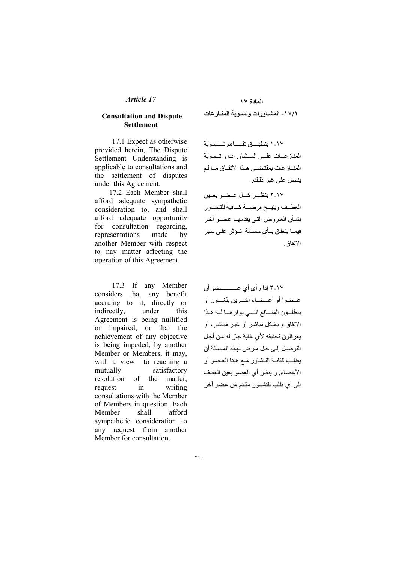### **Consultation and Dispute Settlement**

17.1 Expect as otherwise provided herein, The Dispute Settlement Understanding is applicable to consultations and the settlement of disputes under this Agreement.

17.2 Each Member shall afford adequate sympathetic consideration to, and shall afford adequate opportunity for consultation regarding, representations made  $hv$ another Member with respect to nay matter affecting the operation of this Agreement.

17.3 If any Member considers that any benefit accruing to it, directly or indirectly, under this Agreement is being nullified or impaired, or that the achievement of any objective is being impeded, by another Member or Members, it may, with a view to reaching a mutually satisfactory resolution of the matter. request  $in$ writing consultations with the Member of Members in question. Each Member shall afford sympathetic consideration to any request from another Member for consultation.

١٠٧-١ ينطبق تفساهم تسسوية المناز عسات علسى المسشاورات و تسسوية المناز عات بمقتضى هذا الاتفاق ما لم ينص على غير ذلك.

٢-١٧ ينظــر كــل عــضـو بعــين العطمف ويتيح فرصمة كمافية للتشباور بشأن العروض التي يقدمهـا عضـو أخر فیمــا بتعلق بــأى مسـألة تــؤثر علــى سبر الاتفاق

١٧-٣ إذا د أي أي عـــــــــضو أن عـضوا أو أعـضـاء آخـرين يلغــون أو يبطلون المنافع التبي يوفرها لمه هذا الاتفاق و بشکل مباشر أو غير مباشر ، أو يعر قلون تحقيقه لأي غاية جاز له من أجل التوصيل إلى حل مر ض لهذه المسألة أن يطلب كتابية التشاور مبع هذا العضو أو الأعضاء وينظر أى العضو بعين العطف إلى أي طلب للتشــاور مقدم من عضو آخر

 $\mathbf{y}$ .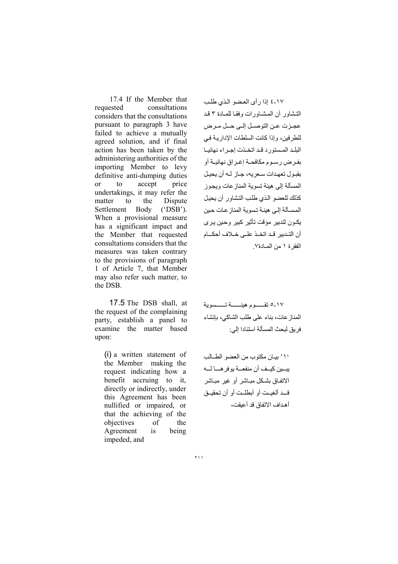17.4 If the Member that requested consultations considers that the consultations pursuant to paragraph 3 have failed to achieve a mutually agreed solution, and if final action has been taken by the administering authorities of the importing Member to levy definitive anti-dumping duties accept <sub>or</sub> to price undertakings, it may refer the matter to the Dispute Settlement Body  $('DSB').$ When a provisional measure has a significant impact and the Member that requested consultations considers that the measures was taken contrary to the provisions of paragraph 1 of Article 7, that Member may also refer such matter, to the DSB

17.5 The DSB shall, at the request of the complaining party, establish a panel to examine the matter based upon:

(i) a written statement of the Member making the request indicating how a benefit accruing to it, directly or indirectly, under this Agreement has been nullified or impaired, or that the achieving of the objectives  $\alpha$ f the Agreement is being impeded, and

١٧-٤ إذا رأى العضو الذي طلب التشاور أن المشاورات وفقا للمادة ٣ قد عجزت عن التوصل إلى حل مرض للطرفين، وإذا كانت السلطات الإداريـة فـي البلد المستورد قد اتخذت إجراء نهائيا بفـر ض ر سـو م مكافحــة إغـر اق نـهائيــة أو يقدول تعهدات سعريه، حياز الله أن يحيل المسألة إلى هيئة تسوية المناز عات ويجوز كذلك للعضو الذي طلب التشاور أن يحيل المسألة الے , هنئة تسوية المناز عات حين يڪون لتدبير مؤقت تأثير کبير وحين پر ي أن التـدبير قـد اتخـذ علـى خـلاف أحكــام الفقرة ١ من المبادة٧

٥-١٧ تقسسوم هيئسسة تسسسوية المناز عات، بناء على طلب الشاكي، بإنشاء فر بق لبحث المسألة استنادا إلى: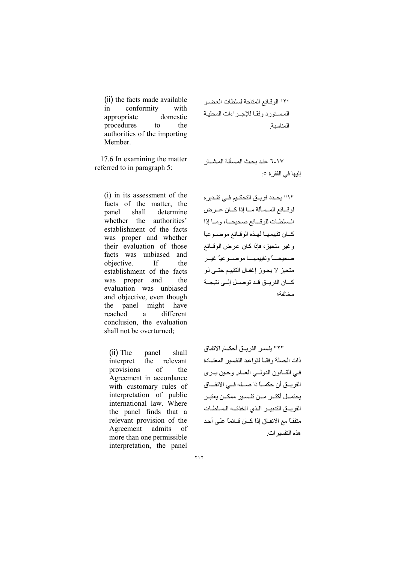(ii) the facts made available conformity with  $in$ appropriate domestic procedures to the authorities of the importing Member.

17.6 In examining the matter referred to in paragraph 5:

(i) in its assessment of the facts of the matter, the shall determine panel whether the authorities' establishment of the facts was proper and whether their evaluation of those facts was unbiased and objective.  $\mathbf{H}$ the establishment of the facts was proper and the evaluation was unbiased and objective, even though panel might have the reached different a conclusion, the evaluation shall not be overturned;

 $(ii)$  The panel shall interpret the relevant provisions of the Agreement in accordance with customary rules of interpretation of public international law. Where the panel finds that a relevant provision of the Agreement admits - of more than one permissible interpretation, the panel

٢٠ الوقائع المتاحة لسلطات العضو المستورد وفقا للإجراءات المحلية المناسبة

٦-١٧ عند بحث المسألة المشــار إليها في الفقرة ٥:

" \ " يحــدد فريــق التحكــيم فــي تقــدير ه لوقائع المسلألة ما إذا كان عرض السلطات للوقائع صحيحاً، وما إذا كبان تقييمهما لهذه الوقائع موضوعيا وغير متحيز، فإذا كـان عرض الوقــائع صحيحــــأ وتقييمهــــا موضـــوعيأ غيــر متحيز لا يجـوز إغفـال التقييـم حتــي لـو كسان الفريسق قد توصل إلىي نتيجة مخالفة؛

"٢" يفسر الفر يــق أحكــام الاتفـاق ذات المصلة وفقاً لقواعد التفسير المعتبادة في القـانون الدولسي العـام. وحين يـري الفريــق أن حكمـــاً ذا صـــله فـــى الاتفـــاق يحتمــل أكثــر مــن تفسير ممكــن يعتبـر الفرييق التدبيير الذى اتخذتيه السلطات متفقـّا مـع الاتفـاق إذا كــان قــائمـًا علـى أحـد هذه التفسير ات.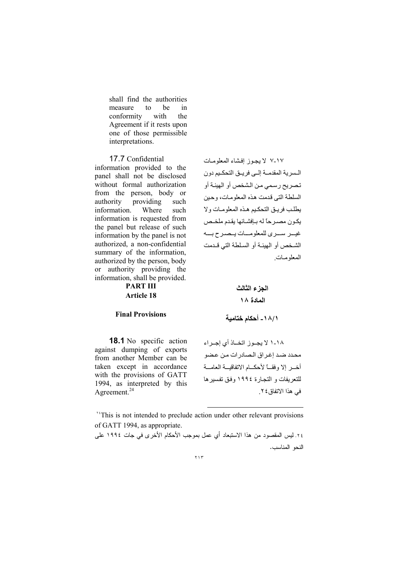shall find the authorities measure  $\mathsf{to}$ he  $in$ conformity with the Agreement if it rests upon one of those permissible interpretations.

17.7 Confidential information provided to the panel shall not be disclosed without formal authorization from the person, body or providing authority such information. Where such information is requested from the panel but release of such information by the panel is not authorized, a non-confidential summary of the information, authorized by the person, body or authority providing the information, shall be provided.

**PART III Article 18** 

#### **Final Provisions**

السر بة المقدمية البي فريبق التحكيم دون تصريح رسمي من الشخص أو الهيئة أو السلطة التي قدمت هذه المعلوميات، وحين يطلب فريبق التحكيم هذه المعلوميات ولا يكون مصرحاً له بافشائها يقدم ملخص غيسر سيرى للمعلوميات يتصبرح بسه الشخص أو الهيئة أو السلطة التي قدمت المعلومات

١٧-٧ لا يجوز إفشاء المعلومات

# الجزء الثالث المادة ١٨

## ١ /١ ٨ ـ أحكام ختامية

**18.1** No specific action against dumping of exports from another Member can be taken except in accordance with the provisions of GATT 1994, as interpreted by this Agreement. $^{24}$ 

١٨-١ لا يجـوز اتخــاذ أي إجـراء محدد ضد إغراق الصادرات من عضو أخــر إلا وفقـــاً لأحكـــام الاتفاقيـــة العامـــة للتعريفات و التجار ة ١٩٩٤ وفق تفسير ها في هذا الاتفاق ٢ .

<sup>\*\*</sup>This is not intended to preclude action under other relevant provisions of GATT 1994, as appropriate.

٢٤. ليس المقصود من هذا الاستبعاد أي عمل بموجب الأحكام الأخرى في جات ١٩٩٤ على النحو المناسب.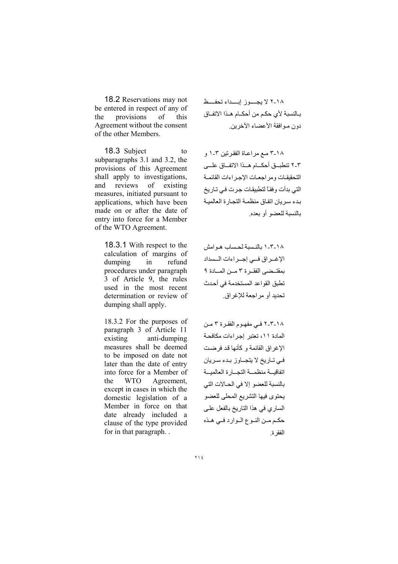18.2 Reservations may not be entered in respect of any of provisions  $\alpha$ f the this Agreement without the consent of the other Members.

18.3 Subject to subparagraphs 3.1 and 3.2, the provisions of this Agreement shall apply to investigations, and reviews of existing measures, initiated pursuant to applications, which have been made on or after the date of entry into force for a Member of the WTO Agreement.

18.3.1 With respect to the calculation of margins of dumping  $in$ refund procedures under paragraph 3 of Article 9, the rules used in the most recent determination or review of dumping shall apply.

18.3.2 For the purposes of paragraph 3 of Article 11 existing anti-dumping measures shall be deemed to be imposed on date not later than the date of entry into force for a Member of the **WTO** Agreement, except in cases in which the domestic legislation of a Member in force on that date already included a clause of the type provided for in that paragraph...

١٨-٢ لا بجسوز إبداء تحفظ بـالنسبة لأي حكـم من أحكــام هــذا الاتفــاق دون مـوافقة الأعضاء الآخرين

٢٠١٨ مع مراعاة الفقرتين ٣-١ و ٢-٢ تنطبــق أحكـــام هــذا الاتفـــاق علـــي التحقيقات ومراجعات الإجراءات القائمة التے بدأت و فقـًا لتطبیقـات جـر ت فـی تـار بخ بدء سريان اتفاق منظمة التجارة العالمية بالنسبة للعضو أو بعده

١٨-٢-١ بالنسبة لحساب هـوامش الإغــراق فـــى إجــراءات الــسداد بمقتضى الفقرة ٣ مـن المـادة ٩ تطبق القواعد المستخدمة في أحدث تحدبد أو مر اجعة للاغر اق

١٨-٢-٢ في مفهوم الفقرة ٣ من المادة ١١، تعتبر إجراءات مكافحة الإغراق القائمة وكأنها قد فرضت في تباريخ لا يتجباوز بدء سريان اتفاقيسة منظمسة التجسار ة العالميسة بالنسبة للعضو إلا في الحالات التي يحتوى فيها التشريع المحلى للعضو الساري في هذا التاريخ بالفعل على حكم مـن النـوع الـوارد فـى هـذه الفقر ة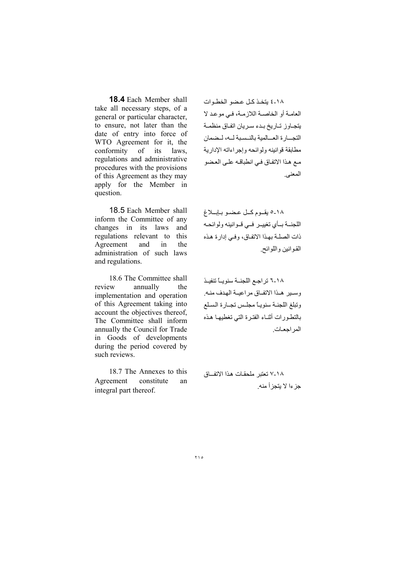18.4 Each Member shall take all necessary steps, of a general or particular character, to ensure, not later than the date of entry into force of WTO Agreement for it, the conformity of its laws, regulations and administrative procedures with the provisions of this Agreement as they may apply for the Member in question.

18.5 Each Member shall inform the Committee of any changes in its laws and regulations relevant to this Agreement and in the administration of such laws and regulations.

18.6 The Committee shall review annually the implementation and operation of this Agreement taking into account the objectives thereof, The Committee shall inform annually the Council for Trade in Goods of developments during the period covered by such reviews.

18.7 The Annexes to this Agreement constitute an integral part thereof.

١٨-٤ بتخذ كل عضو الخطوات العامـة أو الخاصـة اللازمـة، فـي موعد لا يتجاوز تاريخ بدء سريان اتفاق منظمة التجسارة العسالمية بالنسببة لسه، ليضمان مطابقة قو انینه و لو ائحه و إجر اءاته الإدار یة مع هذا الاتفاق في انطباقه على العضو المعنى ِ

١٨-٥ یقوم کل عضو بابلاغ اللجنــة بــأى تغييــر فــى قــوانينه ولوائحـه ذات الصلة بهذا الاتفاق، وفي إدارة هذه القوانين واللوائح.

١٨-٦ تراجع اللجنــة سنويـــًا تنفيــذ وسير هذا الاتفاق مراعيــة الهدف منـه. وتبلغ اللجنـة سنويـاً مجلـس تجـارة السلع بالتطـورات أثنــاء الفتـرة التـي تغطيهـا هـذه المر احعـات

١٨-٧ تعتبر ملحقات هذا الاتفاق جز ءا لا بتجز أ منه .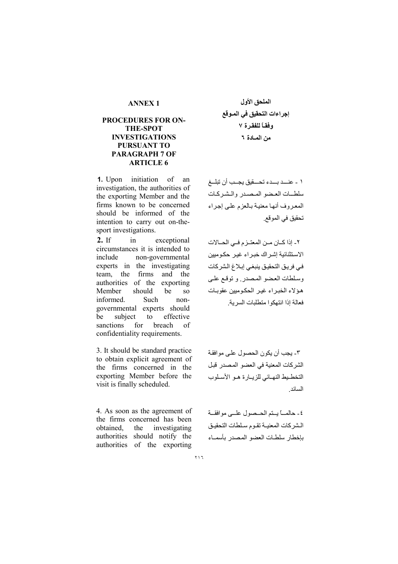## **PROCEDURES FOR ON-THE-SPOT INVESTIGATIONS** PURSUANT TO **PARAGRAPH 7 OF ARTICLE 6**

**1.** Upon initiation of an investigation, the authorities of the exporting Member and the firms known to be concerned should be informed of the intention to carry out on-thesport investigations.

 $2.$  If in exceptional circumstances it is intended to non-governmental include experts in the investigating team, the firms and the authorities of the exporting Member should be <sub>SO</sub> informed. Such nongovernmental experts should be subject effective to sanctions for breach of confidentiality requirements.

3. It should be standard practice to obtain explicit agreement of the firms concerned in the exporting Member before the visit is finally scheduled.

4. As soon as the agreement of the firms concerned has been obtained, the investigating authorities should notify the authorities of the exporting

الملحق الأول إجراءات التحقيق في المـوقع وفقاً للفقرة ٧ من المادة ٢

١ - عنـــد بـــدء تحـــقيق يجــب أن تبلـــغ سلطيات العضو المصدر والشركات المعروف أنها معنية بالعزم على إجراء تحقيق في الموقع.

٢- إذا كــان مــن المعتــز م فــى الحــالات الاستثنائية إشراك خبراء غير حكوميين في فريق التحقيق ينبغي إبلاغ الشركات وسلطات العضو المصدر وتوقع على هؤلاء الخبراء غير الحكوميين عقوبات فعالة إذا انتهكوا متطلبات السر بة

٣- يجب أن يكون الحصول على موافقة الشركات المعنية في العضو المصدر قبل التخطيط النهائي للزيارة هو الأسلوب السائد

٤- حالمـــًا بستم الحــصول علـــي موافقــة الشركات المعنية تقوم سلطات التحقيق بإخطار سلطات العضو المصدر بأسماء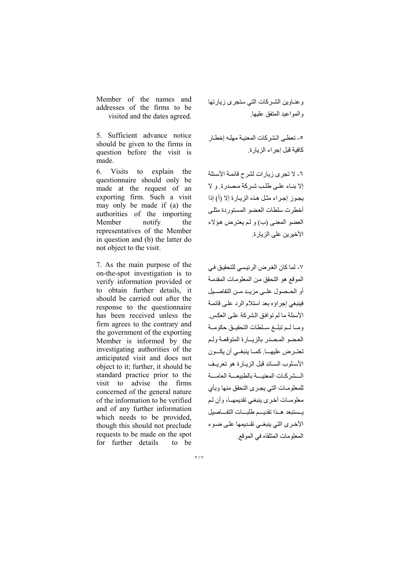Member of the names and addresses of the firms to be visited and the dates agreed.

5. Sufficient advance notice should be given to the firms in question before the visit is made.

 $6<sub>1</sub>$ Visits to explain the questionnaire should only be made at the request of an exporting firm. Such a visit may only be made if (a) the authorities of the importing Member notify the representatives of the Member in question and (b) the latter do not object to the visit.

7. As the main purpose of the on-the-spot investigation is to verify information provided or to obtain further details, it should be carried out after the response to the questionnaire has been received unless the firm agrees to the contrary and the government of the exporting Member is informed by the investigating authorities of the anticipated visit and does not object to it: further, it should be standard practice prior to the visit to advise the firms concerned of the general nature of the information to be verified and of any further information which needs to be provided. though this should not preclude requests to be made on the spot for further details to be

وعناوين الشركات التى ستجرى زيارتها والمواعيد المتفق عليها

٥- تعطي الشركات المعنبـة مهلـه إخطـار كافية قبل إجر اء الز يار ة.

٦- لا تجرى زيارات لشرح قائمة الأسئلة الا بنياء على طلب شير كة مصدرة و لا يجوز إجراء مثل هذه الزيارة إلا (أ) إذا أخطرت سلطات العضو المستوردة مثلى العضو المعنى (ب) و لم يعترض هؤلاء الأخبر بن على الزيار ة

٧- لما كان الغرض الرئيسي للتحقيق في الموقع هو التحقق من المعلومات المقدمة أو الحيصول علي مزييد مين التفاصيل فينبغي إجراؤه بعد استلام الرد على قائمة الأسئلة ما لم توافق الشركة على العكس. ومباليم تبليغ سيلطات التحقييق حكومية العضو المصدر بالزيبارة المتوقعة ولم تعتـرض عليهــا. كمــا ينبغــى أن يكــون الأسلوب السائد قبل الزيارة هو تعريف السشر كات المعنبسة بالطبيعسة العامسة للمعلومات التى يجرى التحقق منها وبأى معلومــات أخـري بنبغـي تقديمهــا، و أن لـم يستبعد هبذا تقديسم طلبسات التفساصيل الأخرى التي ينبغي تقديمها على ضوء المعلومات المتلقاه في الموقع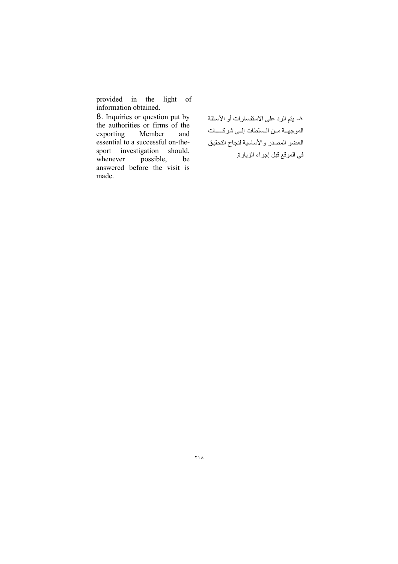provided in the light of information obtained.

8. Inquiries or question put by the authorities or firms of the exporting Member and essential to a successful on-thesport investigation should,  $posible$ , whenever be answered before the visit is made.

٨- يتم الرد على الاستفسارات أو الأسئلة الموجهـة مـن الـسلطات إلـى شركـــات العضو المصدر والأساسية لنجاح التحقيق في الموقع قبل إجراء الزيارة.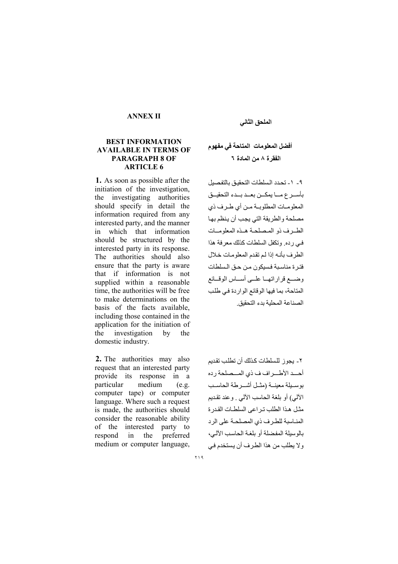## **ANNEX II**

## **BEST INFORMATION AVAILABLE IN TERMS OF PARAGRAPH 8 OF ARTICLE 6**

1. As soon as possible after the initiation of the investigation, the investigating authorities should specify in detail the information required from any interested party, and the manner which that information  $in$ should be structured by the interested party in its response. The authorities should also ensure that the party is aware that if information is not supplied within a reasonable time, the authorities will be free to make determinations on the basis of the facts available, including those contained in the application for the initiation of investigation the by the domestic industry.

2. The authorities may also request that an interested party provide its response in a particular medium  $(e.g.$ computer tape) or computer language. Where such a request is made, the authorities should consider the reasonable ability of the interested party to respond  $in$ the preferred medium or computer language,

## الملحق الثاني

# أفضل المعلومات المتاحة في مفهوم الفقر ة ٨ من المادة ٦

٩- ١- تحدد السلطات التحقيق بالتفصيل بأســرع مـــا يمكــن بعــد بــدء التحقيــق المعلومات المطلوبية من أي طرف ذي مصلحة والطريقة التي يجب أن ينظم بها الطبرف ذو المصلحة هبذه المعلوميات في رده وتكفل السلطات كذلك معرفة هذا الطرف بأنه إذا لم تقدم المعلومات خلال فتر ة مناسبة فسيكون من حـق السلطات وضبع قرار اتهيا عليي أسياس الوقيائع المتاحة، يما فيها الوقائع الواردة في طلب الصناعة المحلبة بدء التحقيق

٢- يجوز للسلطات كذلك أن تطلب تقديم أحدد الأطراف ف ذي المسصلحة رده بوسيلة معينة (مثل أشير طة الحاسب الألبي) أو بلغة الحاسب الألبي . وعند نقديم مثل هذا الطلب تر اعى السلطـات القدر ة المناسبة للطرف ذي المصلحة على الرد بالوسيلة المفضلة أو بلغة الحاسب الآلي، ولا يطلب من هذا الطرف أن يستخدم في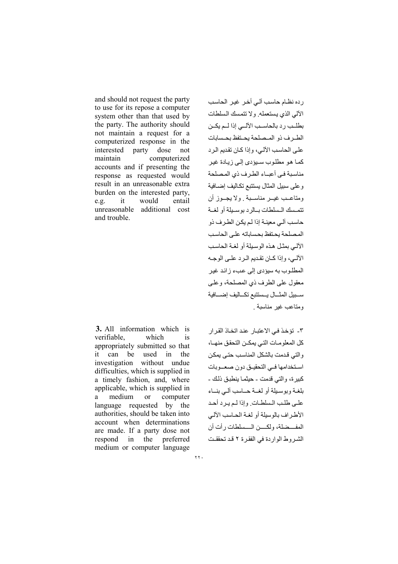and should not request the party to use for its repose a computer system other than that used by the party. The authority should not maintain a request for a computerized response in the interested party dose not maintain computerized accounts and if presenting the response as requested would result in an unreasonable extra burden on the interested party, it would entail  $e.g.$ unreasonable additional cost and trouble.

**3.** All information which is verifiable. which is appropriately submitted so that can be used in the  $it$ investigation without undue difficulties, which is supplied in a timely fashion, and, where applicable, which is supplied in medium <sub>or</sub> computer a language requested by the authorities, should be taken into account when determinations are made. If a party dose not respond in the preferred medium or computer language

ر دہ نظام حاسب آلی أخر غیر الحاسب الألى الذي يستعمله ولا تتمسك السلطات بطلب رد بالحاسب الآلبي إذا للم يكـن الطرف ذو المصلحة بحتفظ بحسابات على الحاسب الآلي، وإذا كان تقديم الرد كمـا هـو مطلـوب سـبودي إلـي ز يـادة غيـر مناسبة في أعباء الطرف ذي المصلحة و على سبيل المثال يستتبع تكـاليف إضــافية ومتاعـب غيــر مناســبة , ولا يجــوز أن تتمسك السلطات بالرديوسيلة أو لغية حاسب آلے معينــة إذا لـم يكن الطـر ف ذو المصلحة بحتفظ بحساباته على الحاسب الآلب بمثل هذه الوسيلة أو لغية الجاسب الألمي، وإذا كمان تقديم المرد علمي الوجه المطلوب به سيؤدي إلى عبء زائد غير معقول على الطرف ذي المصلحة، و علمي سببيل المثسال يسستتبع تكساليف إضسافية ومتاعب غبر مناسبة

٣- تؤخذ في الاعتبار عند اتخاذ القر ار كل المعلو مـات التـى يمكــن التحقق منهــا، والتي قدمت بالشكل المناسب حتى يمكن استخدامها في التحقيق دون صعووبات كبير ة، والتي قدمت - حيثمـا ينطبـق ذلك -بلغية وبوسيلة أو لغسة حساسب آلبي بنساء على طلب السلطات وإذا لم يرد أحد الأطراف بالوسلة أو لغية الحياسب الآلبي المفسضلة، ولكسن المسسلطات رأت أن الشير وط الواردة في الفقر ة ٢ قد تحققت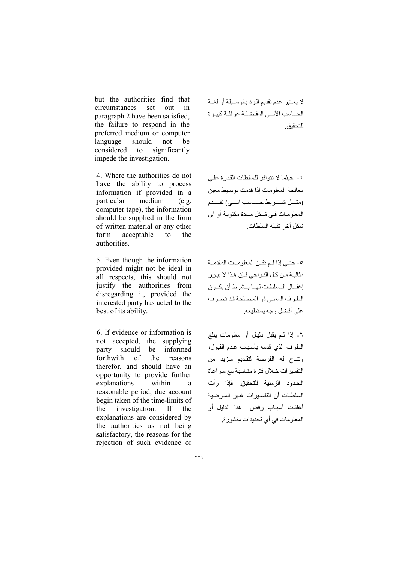but the authorities find that circumstances set  $_{\text{out}}$  $in$ paragraph 2 have been satisfied. the failure to respond in the preferred medium or computer language should not be considered to significantly impede the investigation.

4. Where the authorities do not have the ability to process information if provided in a particular medium  $(e.g.$ computer tape), the information should be supplied in the form of written material or any other acceptable form  $\mathsf{to}$ the authorities.

5. Even though the information provided might not be ideal in all respects, this should not justify the authorities from disregarding it, provided the interested party has acted to the best of its ability.

6. If evidence or information is not accepted, the supplying party should be informed forthwith of the reasons therefor, and should have an opportunity to provide further explanations within a reasonable period, due account begin taken of the time-limits of investigation. the  $If$ the explanations are considered by the authorities as not being satisfactory, the reasons for the rejection of such evidence or

لا يعتبر عدم تقديم الرد بالوسـيلة أو لغــة الحساسب الآلسي المفضلة عرقلة كبيرة للتحقبق

٤- حيثما لا نتوافر للسلطات القدرة على معالجة المعلومات إذا قدمت بوسبط معبن (مثـــل شـــــريط حـــــــاسب ألـــــى) تقـــــدم المعلومات في شكل مادة مكتوبة أو أي شكل أخر تقله السلطات

٥- حتـى إذا لـم تكـن المعلومـات المقدمـة مثاليــة مـن كـل النــواحـى فـإن هـذا لا يبـر ر إغفــال الـسلطات لهــا بــشرط أن يكــون الطرف المعنى ذو المصلحة قد تصرف على أفضل وجه يستطيعه

٦- إذا لم يقبل دليل أو معلومات يبلغ الطرف الذى قدمه بأسباب عدم القبول، وتتاح له الفرصة لتقديم مزيد من التفسيرات خلال فترة مناسبة مع مراعاة الحدود الزمنية للتحقيق فإذا رأت السلطات أن التفسيرات غير المرضية أعلنت أسباب رفض هذا الدلبل أو المعلومات في أي تحديدات منشورة.